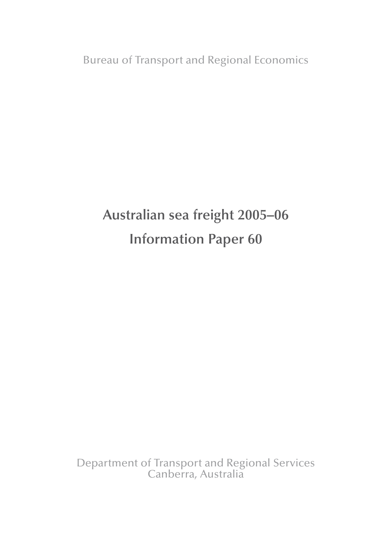Bureau of Transport and Regional Economics

# **Australian sea freight 2005–06 Information Paper 60**

Department of Transport and Regional Services Canberra, Australia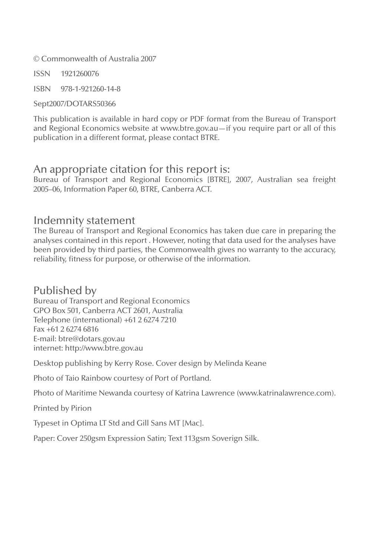© Commonwealth of Australia 2007

ISSN 1921260076

ISBN 978-1-921260-14-8

Sept2007/DOTARS50366

This publication is available in hard copy or PDF format from the Bureau of Transport and Regional Economics website at www.btre.gov.au—if you require part or all of this publication in a different format, please contact BTRE.

### An appropriate citation for this report is:

Bureau of Transport and Regional Economics [BTRE], 2007, Australian sea freight 2005–06, Information Paper 60, BTRE, Canberra ACT.

### Indemnity statement

The Bureau of Transport and Regional Economics has taken due care in preparing the analyses contained in this report . However, noting that data used for the analyses have been provided by third parties, the Commonwealth gives no warranty to the accuracy, reliability, fitness for purpose, or otherwise of the information.

### Published by

Bureau of Transport and Regional Economics GPO Box 501, Canberra ACT 2601, Australia Telephone (international) +61 2 6274 7210 Fax +61 2 6274 6816 E-mail: btre@dotars.gov.au internet: http://www.btre.gov.au

Desktop publishing by Kerry Rose. Cover design by Melinda Keane

Photo of Taio Rainbow courtesy of Port of Portland.

Photo of Maritime Newanda courtesy of Katrina Lawrence (www.katrinalawrence.com).

Printed by Pirion

Typeset in Optima LT Std and Gill Sans MT [Mac].

Paper: Cover 250gsm Expression Satin; Text 113gsm Soverign Silk.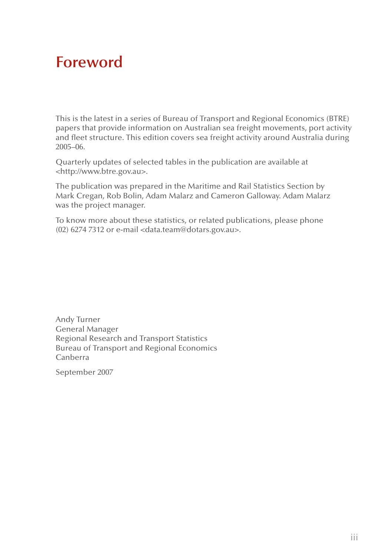## **Foreword**

This is the latest in a series of Bureau of Transport and Regional Economics (BTRE) papers that provide information on Australian sea freight movements, port activity and fleet structure. This edition covers sea freight activity around Australia during 2005–06.

Quarterly updates of selected tables in the publication are available at <http://www.btre.gov.au>.

The publication was prepared in the Maritime and Rail Statistics Section by Mark Cregan, Rob Bolin, Adam Malarz and Cameron Galloway. Adam Malarz was the project manager.

To know more about these statistics, or related publications, please phone (02) 6274 7312 or e-mail <data.team@dotars.gov.au>.

Andy Turner General Manager Regional Research and Transport Statistics Bureau of Transport and Regional Economics Canberra

September 2007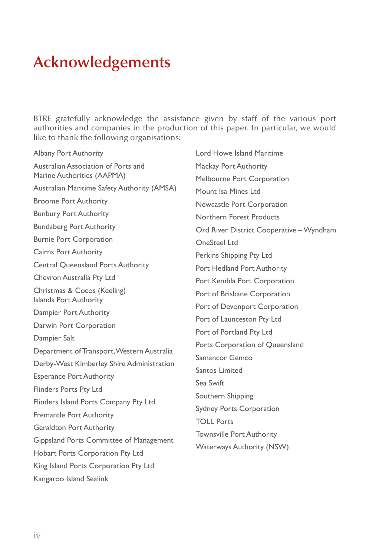## **Acknowledgements**

BTRE gratefully acknowledge the assistance given by staff of the various port authorities and companies in the production of this paper. In particular, we would like to thank the following organisations:

Albany Port Authority Australian Association of Ports and Marine Authorities (AAPMA) Australian Maritime Safety Authority (AMSA) Broome Port Authority Bunbury Port Authority Bundaberg Port Authority Burnie Port Corporation Cairns Port Authority Central Queensland Ports Authority Chevron Australia Pty Ltd Christmas & Cocos (Keeling) Islands Port Authority Dampier Port Authority Darwin Port Corporation Dampier Salt Department of Transport, Western Australia Derby-West Kimberley Shire Administration Esperance Port Authority Flinders Ports Pty Ltd Flinders Island Ports Company Pty Ltd Fremantle Port Authority Geraldton Port Authority Gippsland Ports Committee of Management Hobart Ports Corporation Pty Ltd King Island Ports Corporation Pty Ltd Kangaroo Island Sealink

Lord Howe Island Maritime Mackay Port Authority Melbourne Port Corporation Mount Isa Mines Ltd Newcastle Port Corporation Northern Forest Products Ord River District Cooperative – Wyndham OneSteel Ltd Perkins Shipping Pty Ltd Port Hedland Port Authority Port Kembla Port Corporation Port of Brisbane Corporation Port of Devonport Corporation Port of Launceston Pty Ltd Port of Portland Pty Ltd Ports Corporation of Queensland Samancor Gemco Santos Limited Sea Swift Southern Shipping Sydney Ports Corporation TOLL Ports Townsville Port Authority Waterways Authority (NSW)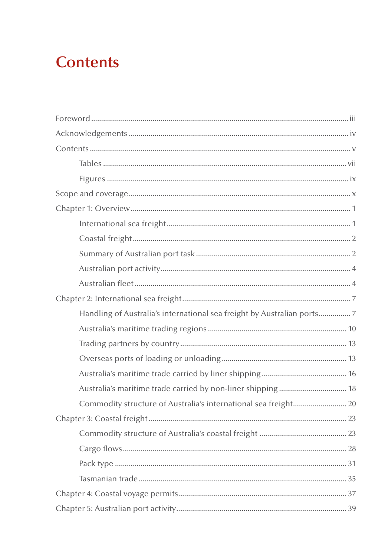## **Contents**

| Handling of Australia's international sea freight by Australian ports7 |
|------------------------------------------------------------------------|
|                                                                        |
|                                                                        |
|                                                                        |
|                                                                        |
|                                                                        |
|                                                                        |
|                                                                        |
|                                                                        |
|                                                                        |
|                                                                        |
|                                                                        |
|                                                                        |
|                                                                        |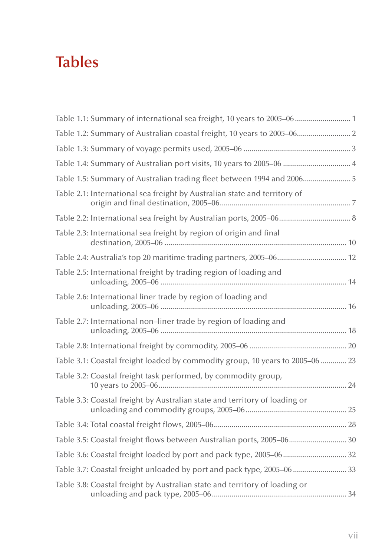# **Tables**

| Table 1.1: Summary of international sea freight, 10 years to 2005–06………………………………… |  |
|-----------------------------------------------------------------------------------|--|
| Table 1.2: Summary of Australian coastal freight, 10 years to 2005-06 2           |  |
|                                                                                   |  |
| Table 1.4: Summary of Australian port visits, 10 years to 2005-06  4              |  |
| Table 1.5: Summary of Australian trading fleet between 1994 and 2006 5            |  |
| Table 2.1: International sea freight by Australian state and territory of         |  |
|                                                                                   |  |
| Table 2.3: International sea freight by region of origin and final                |  |
|                                                                                   |  |
| Table 2.5: International freight by trading region of loading and                 |  |
| Table 2.6: International liner trade by region of loading and                     |  |
| Table 2.7: International non-liner trade by region of loading and                 |  |
|                                                                                   |  |
| Table 3.1: Coastal freight loaded by commodity group, 10 years to 2005–06  23     |  |
| Table 3.2: Coastal freight task performed, by commodity group,                    |  |
| Table 3.3: Coastal freight by Australian state and territory of loading or        |  |
|                                                                                   |  |
| Table 3.5: Coastal freight flows between Australian ports, 2005-06 30             |  |
|                                                                                   |  |
| Table 3.7: Coastal freight unloaded by port and pack type, 2005–06  33            |  |
| Table 3.8: Coastal freight by Australian state and territory of loading or        |  |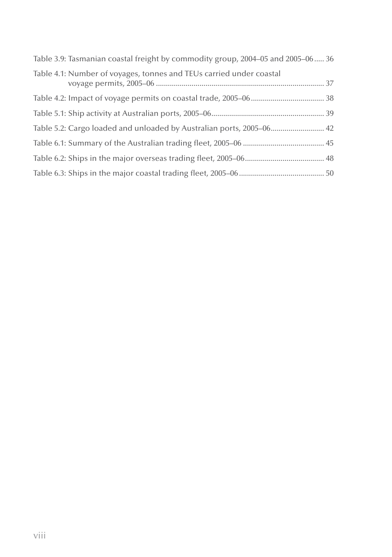| Table 3.9: Tasmanian coastal freight by commodity group, 2004-05 and 2005-06 36 |  |
|---------------------------------------------------------------------------------|--|
| Table 4.1: Number of voyages, tonnes and TEUs carried under coastal             |  |
|                                                                                 |  |
|                                                                                 |  |
|                                                                                 |  |
|                                                                                 |  |
|                                                                                 |  |
|                                                                                 |  |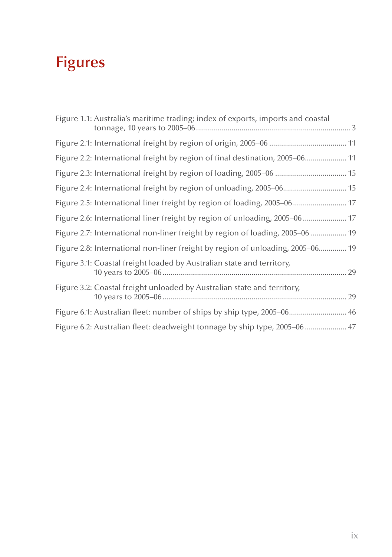# **Figures**

| Figure 1.1: Australia's maritime trading; index of exports, imports and coastal |  |
|---------------------------------------------------------------------------------|--|
|                                                                                 |  |
| Figure 2.2: International freight by region of final destination, 2005–06 11    |  |
| Figure 2.3: International freight by region of loading, 2005-06  15             |  |
| Figure 2.4: International freight by region of unloading, 2005-06 15            |  |
| Figure 2.5: International liner freight by region of loading, 2005-06 17        |  |
| Figure 2.6: International liner freight by region of unloading, 2005-06  17     |  |
| Figure 2.7: International non-liner freight by region of loading, 2005–06  19   |  |
| Figure 2.8: International non-liner freight by region of unloading, 2005-06 19  |  |
| Figure 3.1: Coastal freight loaded by Australian state and territory,           |  |
| Figure 3.2: Coastal freight unloaded by Australian state and territory,         |  |
| Figure 6.1: Australian fleet: number of ships by ship type, 2005–06 46          |  |
| Figure 6.2: Australian fleet: deadweight tonnage by ship type, 2005-06  47      |  |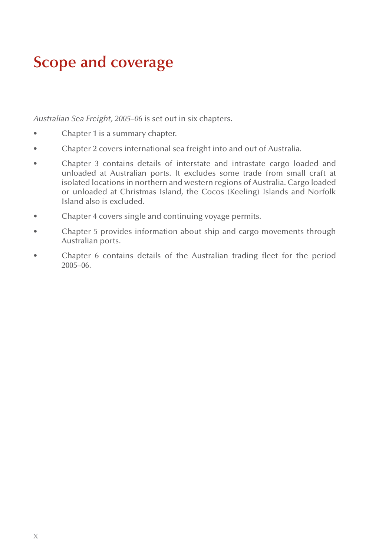## **Scope and coverage**

*Australian Sea Freight, 2005–06* is set out in six chapters.

- Chapter 1 is a summary chapter.
- Chapter 2 covers international sea freight into and out of Australia.
- Chapter 3 contains details of interstate and intrastate cargo loaded and unloaded at Australian ports. It excludes some trade from small craft at isolated locations in northern and western regions of Australia. Cargo loaded or unloaded at Christmas Island, the Cocos (Keeling) Islands and Norfolk Island also is excluded.
- Chapter 4 covers single and continuing voyage permits.
- Chapter 5 provides information about ship and cargo movements through Australian ports.
- Chapter 6 contains details of the Australian trading fleet for the period 2005–06.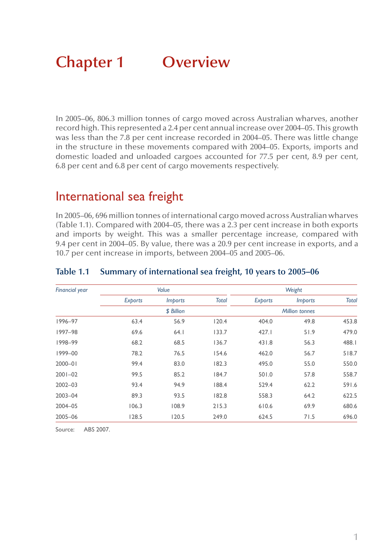# **Chapter 1 Overview**

In 2005–06, 806.3 million tonnes of cargo moved across Australian wharves, another record high. This represented a 2.4 per cent annual increase over 2004–05. This growth was less than the 7.8 per cent increase recorded in 2004–05. There was little change in the structure in these movements compared with 2004–05. Exports, imports and domestic loaded and unloaded cargoes accounted for 77.5 per cent, 8.9 per cent, 6.8 per cent and 6.8 per cent of cargo movements respectively.

### International sea freight

In 2005–06, 696 million tonnes of international cargo moved across Australian wharves (Table 1.1). Compared with 2004–05, there was a 2.3 per cent increase in both exports and imports by weight. This was a smaller percentage increase, compared with 9.4 per cent in 2004–05. By value, there was a 20.9 per cent increase in exports, and a 10.7 per cent increase in imports, between 2004–05 and 2005–06.

| <b>Financial year</b> |         | Value          |              |         | Weight                |              |
|-----------------------|---------|----------------|--------------|---------|-----------------------|--------------|
|                       | Exports | <i>Imports</i> | <b>Total</b> | Exports | <i>Imports</i>        | <b>Total</b> |
|                       |         | \$ Billion     |              |         | <b>Million tonnes</b> |              |
| 1996-97               | 63.4    | 56.9           | 120.4        | 404.0   | 49.8                  | 453.8        |
| 1997-98               | 69.6    | 64.1           | 133.7        | 427.1   | 51.9                  | 479.0        |
| 1998-99               | 68.2    | 68.5           | 136.7        | 431.8   | 56.3                  | 488.1        |
| 1999-00               | 78.2    | 76.5           | 154.6        | 462.0   | 56.7                  | 518.7        |
| $2000 - 01$           | 99.4    | 83.0           | 182.3        | 495.0   | 55.0                  | 550.0        |
| $2001 - 02$           | 99.5    | 85.2           | 184.7        | 501.0   | 57.8                  | 558.7        |
| $2002 - 03$           | 93.4    | 94.9           | 188.4        | 529.4   | 62.2                  | 591.6        |
| $2003 - 04$           | 89.3    | 93.5           | 182.8        | 558.3   | 64.2                  | 622.5        |
| 2004-05               | 106.3   | 108.9          | 215.3        | 610.6   | 69.9                  | 680.6        |
| 2005-06               | 128.5   | 120.5          | 249.0        | 624.5   | 71.5                  | 696.0        |

#### **Table 1.1 Summary of international sea freight, 10 years to 2005–06**

Source: ABS 2007.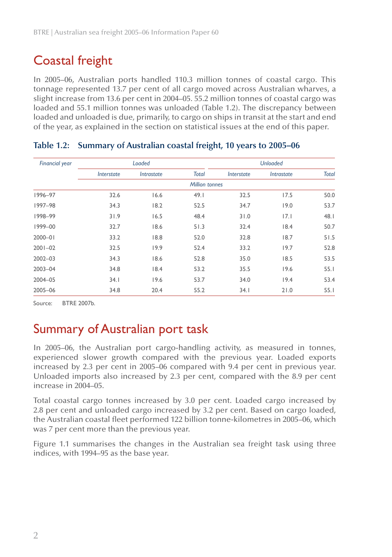### Coastal freight

In 2005–06, Australian ports handled 110.3 million tonnes of coastal cargo. This tonnage represented 13.7 per cent of all cargo moved across Australian wharves, a slight increase from 13.6 per cent in 2004–05. 55.2 million tonnes of coastal cargo was loaded and 55.1 million tonnes was unloaded (Table 1.2). The discrepancy between loaded and unloaded is due, primarily, to cargo on ships in transit at the start and end of the year, as explained in the section on statistical issues at the end of this paper.

| <b>Financial year</b> |            | Loaded                          |                       |            | <b>Unloaded</b> |              |
|-----------------------|------------|---------------------------------|-----------------------|------------|-----------------|--------------|
|                       | Interstate | <i><u><b>Intrastate</b></u></i> | <b>Total</b>          | Interstate | Intrastate      | <b>Total</b> |
|                       |            |                                 | <b>Million tonnes</b> |            |                 |              |
| 1996-97               | 32.6       | 16.6                            | 49.1                  | 32.5       | 17.5            | 50.0         |
| 1997-98               | 34.3       | 18.2                            | 52.5                  | 34.7       | 19.0            | 53.7         |
| 1998-99               | 31.9       | 16.5                            | 48.4                  | 31.0       | 7.1             | 48.1         |
| 1999-00               | 32.7       | 18.6                            | 51.3                  | 32.4       | 18.4            | 50.7         |
| $2000 - 01$           | 33.2       | 18.8                            | 52.0                  | 32.8       | 18.7            | 51.5         |
| $2001 - 02$           | 32.5       | 19.9                            | 52.4                  | 33.2       | 19.7            | 52.8         |
| 2002-03               | 34.3       | 18.6                            | 52.8                  | 35.0       | 18.5            | 53.5         |
| 2003-04               | 34.8       | 18.4                            | 53.2                  | 35.5       | 19.6            | 55.1         |
| 2004-05               | 34.1       | 19.6                            | 53.7                  | 34.0       | 19.4            | 53.4         |
| 2005-06               | 34.8       | 20.4                            | 55.2                  | 34.1       | 21.0            | 55.1         |

#### **Table 1.2: Summary of Australian coastal freight, 10 years to 2005–06**

Source: BTRE 2007b.

### Summary of Australian port task

In 2005–06, the Australian port cargo-handling activity, as measured in tonnes, experienced slower growth compared with the previous year. Loaded exports increased by 2.3 per cent in 2005–06 compared with 9.4 per cent in previous year. Unloaded imports also increased by 2.3 per cent, compared with the 8.9 per cent increase in 2004–05.

Total coastal cargo tonnes increased by 3.0 per cent. Loaded cargo increased by 2.8 per cent and unloaded cargo increased by 3.2 per cent. Based on cargo loaded, the Australian coastal fleet performed 122 billion tonne-kilometres in 2005–06, which was 7 per cent more than the previous year.

Figure 1.1 summarises the changes in the Australian sea freight task using three indices, with 1994–95 as the base year.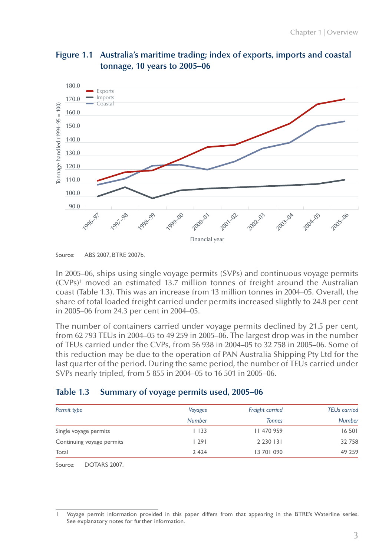



Source: ABS 2007, BTRE 2007b.

In 2005–06, ships using single voyage permits (SVPs) and continuous voyage permits (CVPs)1 moved an estimated 13.7 million tonnes of freight around the Australian coast (Table 1.3). This was an increase from 13 million tonnes in 2004–05. Overall, the share of total loaded freight carried under permits increased slightly to 24.8 per cent in 2005–06 from 24.3 per cent in 2004–05.

The number of containers carried under voyage permits declined by 21.5 per cent, from 62 793 TEUs in 2004–05 to 49 259 in 2005–06. The largest drop was in the number of TEUs carried under the CVPs, from 56 938 in 2004–05 to 32 758 in 2005–06. Some of this reduction may be due to the operation of PAN Australia Shipping Pty Ltd for the last quarter of the period. During the same period, the number of TEUs carried under SVPs nearly tripled, from 5 855 in 2004–05 to 16 501 in 2005–06.

#### **Table 1.3 Summary of voyage permits used, 2005–06**

| Permit type               | Voyages       | Freight carried | <b>TEUs carried</b> |
|---------------------------|---------------|-----------------|---------------------|
|                           | <b>Number</b> | <b>Tonnes</b>   | <b>Number</b>       |
| Single voyage permits     | l 133         | 11 470 959      | 16 501              |
| Continuing voyage permits | 291           | 2 2 3 0 1 3 1   | 32 758              |
| Total                     | 2 4 2 4       | 13 70 1 0 9 0   | 49 259              |

Source: DOTARS 2007.

Voyage permit information provided in this paper differs from that appearing in the BTRE's Waterline series. See explanatory notes for further information.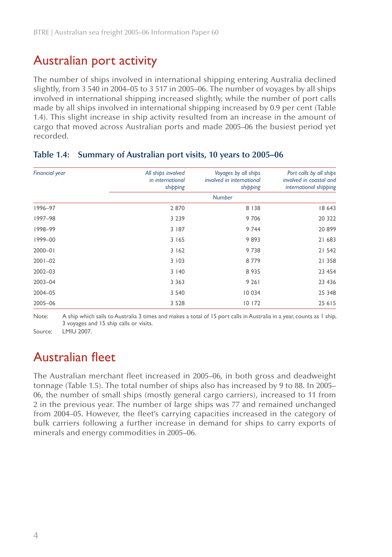### Australian port activity

The number of ships involved in international shipping entering Australia declined slightly, from 3 540 in 2004–05 to 3 517 in 2005–06. The number of voyages by all ships involved in international shipping increased slightly, while the number of port calls made by all ships involved in international shipping increased by 0.9 per cent (Table 1.4). This slight increase in ship activity resulted from an increase in the amount of cargo that moved across Australian ports and made 2005–06 the busiest period yet recorded.

| <b>Financial year</b> | All ships involved<br>in international<br>shipping | Voyages by all ships<br>involved in international<br>shipping | Port calls by all ships<br>involved in coastal and<br>international shipping |
|-----------------------|----------------------------------------------------|---------------------------------------------------------------|------------------------------------------------------------------------------|
|                       |                                                    | <b>Number</b>                                                 |                                                                              |
| 1996-97               | 2870                                               | 8 1 3 8                                                       | 18 643                                                                       |
| 1997-98               | 3 2 3 9                                            | 9706                                                          | 20 322                                                                       |
| 1998-99               | 3 187                                              | 9 7 4 4                                                       | 20899                                                                        |
| $1999 - 00$           | 3 1 6 5                                            | 9893                                                          | 21 683                                                                       |
| $2000 - 01$           | 3162                                               | 9738                                                          | 21 542                                                                       |
| $2001 - 02$           | 3 103                                              | 8779                                                          | 21 358                                                                       |
| $2002 - 03$           | 3140                                               | 8 9 3 5                                                       | 23 454                                                                       |
| $2003 - 04$           | 3 3 6 3                                            | 9 2 6 1                                                       | 23 4 36                                                                      |
| 2004-05               | 3 5 4 0                                            | 10 0 34                                                       | 25 348                                                                       |
| 2005-06               | 3 5 2 8                                            | 10 172                                                        | 25 615                                                                       |

#### **Table 1.4: Summary of Australian port visits, 10 years to 2005–06**

Note: A ship which sails to Australia 3 times and makes a total of 15 port calls in Australia in a year, counts as 1 ship, 3 voyages and 15 ship calls or visits.

Source: LMIU 2007.

### Australian fleet

The Australian merchant fleet increased in 2005–06, in both gross and deadweight tonnage (Table 1.5). The total number of ships also has increased by 9 to 88. In 2005– 06, the number of small ships (mostly general cargo carriers), increased to 11 from 2 in the previous year. The number of large ships was 77 and remained unchanged from 2004–05. However, the fleet's carrying capacities increased in the category of bulk carriers following a further increase in demand for ships to carry exports of minerals and energy commodities in 2005–06.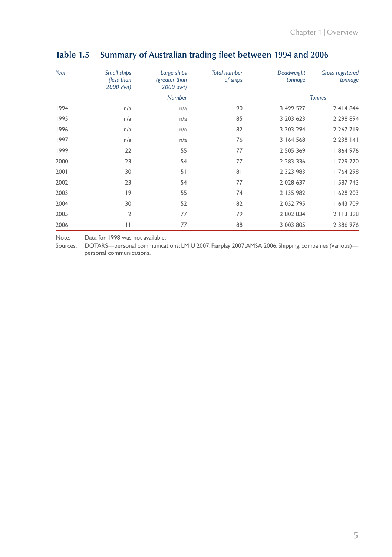| Year | Small ships<br>(less than<br>2000 dwt) | Large ships<br>(greater than<br>2000 dwt) | <b>Total number</b><br>of ships | Deadweight<br>tonnage | <b>Gross registered</b><br>tonnage |
|------|----------------------------------------|-------------------------------------------|---------------------------------|-----------------------|------------------------------------|
|      |                                        | <b>Number</b>                             |                                 |                       | <b>Tonnes</b>                      |
| 1994 | n/a                                    | n/a                                       | 90                              | 3 499 527             | 2 4 1 4 8 4 4                      |
| 1995 | n/a                                    | n/a                                       | 85                              | 3 203 623             | 2 2 9 8 8 9 4                      |
| 1996 | n/a                                    | n/a                                       | 82                              | 3 303 294             | 2 2 6 7 1 9                        |
| 1997 | n/a                                    | n/a                                       | 76                              | 3 164 568             | 2 2 3 8 1 4 1                      |
| 1999 | 22                                     | 55                                        | 77                              | 2 505 369             | 864 976                            |
| 2000 | 23                                     | 54                                        | 77                              | 2 283 336             | 729 770                            |
| 2001 | 30                                     | 51                                        | 81                              | 2 3 2 3 9 8 3         | 764 298                            |
| 2002 | 23                                     | 54                                        | 77                              | 2 0 28 6 37           | 587 743                            |
| 2003 | 9                                      | 55                                        | 74                              | 2 135 982             | 628 203                            |
| 2004 | 30                                     | 52                                        | 82                              | 2 052 795             | 643 709                            |
| 2005 | 2                                      | 77                                        | 79                              | 2 802 834             | 2 113 398                          |
| 2006 | П                                      | 77                                        | 88                              | 3 003 805             | 2 386 976                          |

### **Table 1.5 Summary of Australian trading fleet between 1994 and 2006**

Note: Data for 1998 was not available.

Sources: DOTARS—personal communications; LMIU 2007; Fairplay 2007; AMSA 2006, Shipping, companies (various) personal communications.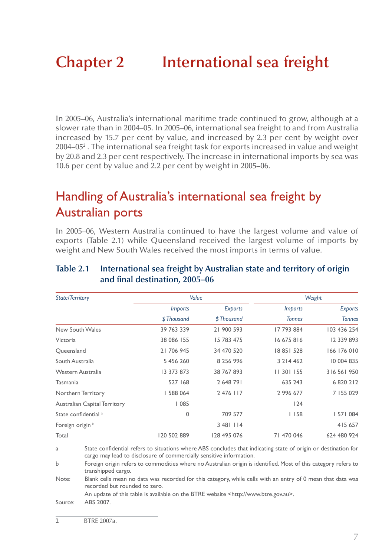# **Chapter 2 International sea freight**

In 2005–06, Australia's international maritime trade continued to grow, although at a slower rate than in 2004–05. In 2005–06, international sea freight to and from Australia increased by 15.7 per cent by value, and increased by 2.3 per cent by weight over 2004–05 $^{\circ}$  . The international sea freight task for exports increased in value and weight by 20.8 and 2.3 per cent respectively. The increase in international imports by sea was 10.6 per cent by value and 2.2 per cent by weight in 2005–06.

### Handling of Australia's international sea freight by Australian ports

In 2005–06, Western Australia continued to have the largest volume and value of exports (Table 2.1) while Queensland received the largest volume of imports by weight and New South Wales received the most imports in terms of value.

| <b>State/Territory</b>              | Value          |             | Weight         |               |
|-------------------------------------|----------------|-------------|----------------|---------------|
|                                     | <i>Imports</i> | Exports     | <b>Imports</b> | Exports       |
|                                     | \$Thousand     | \$Thousand  | <b>Tonnes</b>  | <b>Tonnes</b> |
| New South Wales                     | 39 763 339     | 21 900 593  | 17 793 884     | 103 436 254   |
| Victoria                            | 38 086 155     | 15 783 475  | 16 675 816     | 12 339 893    |
| Queensland                          | 21 706 945     | 34 470 520  | 18 851 528     | 166 176 010   |
| South Australia                     | 5 456 260      | 8 256 996   | 3 2 1 4 4 6 2  | 10 004 835    |
| Western Australia                   | 13 373 873     | 38 767 893  | 11 301 155     | 316 561 950   |
| Tasmania                            | 527 168        | 2 648 791   | 635 243        | 6 820 212     |
| Northern Territory                  | 588 064        | 2 476 117   | 2 996 677      | 7 155 029     |
| <b>Australian Capital Territory</b> | 1085           |             | 124            |               |
| State confidential <sup>a</sup>     | 0              | 709 577     | 1158           | 57  084       |
| Foreign origin <sup>b</sup>         |                | 3 481 114   |                | 415 657       |
| Total                               | 120 502 889    | 128 495 076 | 71 470 046     | 624 480 924   |

#### **Table 2.1 International sea freight by Australian state and territory of origin and final destination, 2005–06**

a State confidential refers to situations where ABS concludes that indicating state of origin or destination for cargo may lead to disclosure of commercially sensitive information.

b Foreign origin refers to commodities where no Australian origin is identified. Most of this category refers to transhipped cargo.

Note: Blank cells mean no data was recorded for this category, while cells with an entry of 0 mean that data was recorded but rounded to zero.

An update of this table is available on the BTRE website <http://www.btre.gov.au>.

Source: ABS 2007.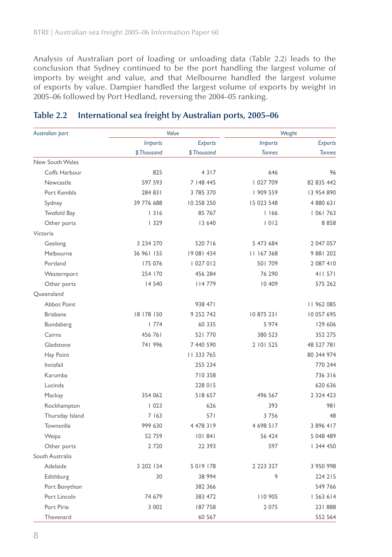Analysis of Australian port of loading or unloading data (Table 2.2) leads to the conclusion that Sydney continued to be the port handling the largest volume of imports by weight and value, and that Melbourne handled the largest volume of exports by value. Dampier handled the largest volume of exports by weight in 2005–06 followed by Port Hedland, reversing the 2004–05 ranking.

| Australian port    | Value          |                | Weight         |                |
|--------------------|----------------|----------------|----------------|----------------|
|                    | <b>Imports</b> | <b>Exports</b> | <b>Imports</b> | <b>Exports</b> |
|                    | \$Thousand     | \$Thousand     | <b>Tonnes</b>  | <b>Tonnes</b>  |
| New South Wales    |                |                |                |                |
| Coffs Harbour      | 825            | 4317           | 646            | 96             |
| Newcastle          | 597 593        | 7   48 445     | 027 709        | 82 835 442     |
| Port Kembla        | 284 831        | 3 785 370      | 909 559        | 13 954 890     |
| Sydney             | 39 776 688     | 10 258 250     | 15 023 548     | 4 880 631      |
| <b>Twofold Bay</b> | 1316           | 85 767         | 1166           | 06  763        |
| Other ports        | 1329           | 13 640         | 1012           | 8858           |
| Victoria           |                |                |                |                |
| Geelong            | 3 234 270      | 520 716        | 5 473 684      | 2 047 057      |
| Melbourne          | 36 961 155     | 19 081 434     | 11 167 368     | 9 881 202      |
| Portland           | 175 076        | 027 012        | 501709         | 2 087 410      |
| Westernport        | 254 170        | 456 284        | 76 290         | 411 571        |
| Other ports        | 14 5 40        | 114779         | 10 409         | 575 262        |
| Queensland         |                |                |                |                |
| <b>Abbot Point</b> |                | 938 471        |                | 11 962 085     |
| <b>Brisbane</b>    | 18 178 150     | 9 252 742      | 10 875 231     | 10 057 695     |
| Bundaberg          | 1774           | 60 335         | 5 974          | 129 606        |
| Cairns             | 456761         | 521 770        | 380 523        | 352 275        |
| Gladstone          | 741 996        | 7 440 590      | 2 101 525      | 48 527 781     |
| Hay Point          |                | 11 333 765     |                | 80 344 974     |
| Innisfail          |                | 255 234        |                | 770 244        |
| Karumba            |                | 710 358        |                | 736316         |
| Lucinda            |                | 228 015        |                | 620 636        |
| Mackay             | 354 062        | 518 657        | 496 567        | 2 3 2 4 4 2 3  |
| Rockhampton        | 1023           | 626            | 393            | 981            |
| Thursday Island    | 7 1 6 3        | 571            | 3756           | 48             |
| Townsville         | 999 630        | 4 478 319      | 4 698 517      | 3 896 417      |
| Weipa              | 52759          | 101841         | 56 424         | 5 048 489      |
| Other ports        | 2720           | 22 3 9 3       | 597            | 344 450        |
| South Australia    |                |                |                |                |
| Adelaide           | 3 202 134      | 5 0 1 9 1 7 8  | 2 2 2 3 3 2 7  | 3 950 998      |
| Edithburg          | 30             | 38 994         | 9              | 224 215        |
| Port Bonython      |                | 382 366        |                | 549 766        |
| Port Lincoln       | 74 679         | 383 472        | 110 905        | 563 614        |
| Port Pirie         | 3 0 0 2        | 187758         | 2 0 7 5        | 231888         |
| Thevenard          |                | 60 567         |                | 552 564        |

#### **Table 2.2 International sea freight by Australian ports, 2005–06**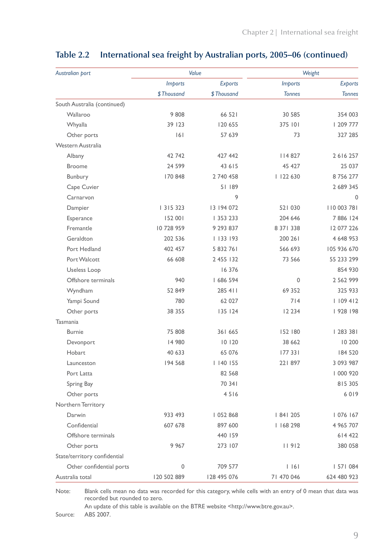| Australian port              | Value          |                | Weight         |                |  |  |
|------------------------------|----------------|----------------|----------------|----------------|--|--|
|                              | <b>Imports</b> | <b>Exports</b> | <b>Imports</b> | <b>Exports</b> |  |  |
|                              | \$Thousand     | \$Thousand     | <b>Tonnes</b>  | <b>Tonnes</b>  |  |  |
| South Australia (continued)  |                |                |                |                |  |  |
| Wallaroo                     | 9808           | 66 521         | 30 585         | 354 003        |  |  |
| Whyalla                      | 39 123         | 120 655        | 375 101        | 209 777        |  |  |
| Other ports                  | 6              | 57 639         | 73             | 327 285        |  |  |
| Western Australia            |                |                |                |                |  |  |
| Albany                       | 42 742         | 427 442        | 4 8 2 7        | 2616257        |  |  |
| <b>Broome</b>                | 24 5 9 9       | 43 615         | 45 427         | 25 037         |  |  |
| Bunbury                      | 170 848        | 2 740 458      | 122 630        | 8756277        |  |  |
| Cape Cuvier                  |                | 51189          |                | 2 689 345      |  |  |
| Carnarvon                    |                | 9              |                | $\mathbf 0$    |  |  |
| Dampier                      | 3   5 3 2 3    | 13 194 072     | 521 030        | 110 003 781    |  |  |
| Esperance                    | 152 001        | 353 233        | 204 646        | 7886 124       |  |  |
| Fremantle                    | 10728959       | 9 293 837      | 8 37 1 3 3 8   | 12 077 226     |  |  |
| Geraldton                    | 202 536        | 133 193        | 200 261        | 4 648 953      |  |  |
| Port Hedland                 | 402 457        | 5 832 761      | 566 693        | 105 936 670    |  |  |
| Port Walcott                 | 66 608         | 2 455 132      | 73 566         | 55 233 299     |  |  |
| Useless Loop                 |                | 16 376         |                | 854 930        |  |  |
| Offshore terminals           | 940            | 686 594        | $\mathbf{0}$   | 2 5 6 2 9 9 9  |  |  |
| Wyndham                      | 52 849         | 285 411        | 69 352         | 325 933        |  |  |
| Yampi Sound                  | 780            | 62 027         | 714            | 1109412        |  |  |
| Other ports                  | 38 355         | 135 124        | 12 2 3 4       | 928   98       |  |  |
| Tasmania                     |                |                |                |                |  |  |
| <b>Burnie</b>                | 75 808         | 361 665        | 152 180        | 283 38         |  |  |
| Devonport                    | 14 980         | 10120          | 38 662         | 10 200         |  |  |
| Hobart                       | 40 633         | 65 076         | 177 331        | 184 520        |  |  |
| Launceston                   | 194 568        | 1140155        | 221897         | 3 093 987      |  |  |
| Port Latta                   |                | 82 568         |                | 000 920        |  |  |
| Spring Bay                   |                | 70 341         |                | 815 305        |  |  |
| Other ports                  |                | 4516           |                | 6019           |  |  |
| Northern Territory           |                |                |                |                |  |  |
| Darwin                       | 933 493        | 052 868        | 84  205        | 076   67       |  |  |
| Confidential                 | 607 678        | 897 600        | 168 298        | 4 965 707      |  |  |
| Offshore terminals           |                | 440 159        |                | 614 422        |  |  |
| Other ports                  | 9 967          | 273 107        | 11912          | 380 058        |  |  |
| State/territory confidential |                |                |                |                |  |  |
| Other confidential ports     | 0              | 709 577        | $ $ $ $ 6 $ $  | 57  084        |  |  |
| Australia total              | 120 502 889    | 128 495 076    | 71 470 046     | 624 480 923    |  |  |

### **Table 2.2 International sea freight by Australian ports, 2005–06 (continued)**

Note: Blank cells mean no data was recorded for this category, while cells with an entry of 0 mean that data was recorded but rounded to zero.

An update of this table is available on the BTRE website <http://www.btre.gov.au>.

Source: ABS 2007.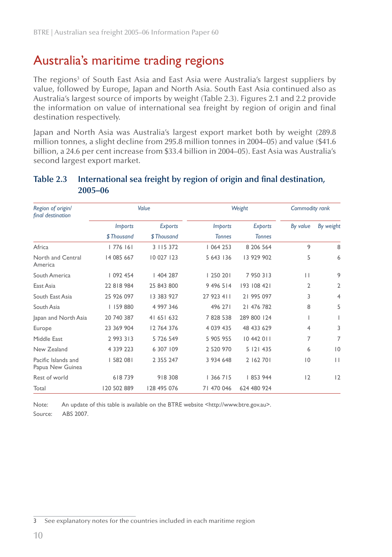### Australia's maritime trading regions

The regions<sup>3</sup> of South East Asia and East Asia were Australia's largest suppliers by value, followed by Europe, Japan and North Asia. South East Asia continued also as Australia's largest source of imports by weight (Table 2.3). Figures 2.1 and 2.2 provide the information on value of international sea freight by region of origin and final destination respectively.

Japan and North Asia was Australia's largest export market both by weight (289.8 million tonnes, a slight decline from 295.8 million tonnes in 2004–05) and value (\$41.6 billion, a 24.6 per cent increase from \$33.4 billion in 2004–05). East Asia was Australia's second largest export market.

| Region of origin/<br>final destination  |                | Value          | Weight         | Commodity rank |              |                |
|-----------------------------------------|----------------|----------------|----------------|----------------|--------------|----------------|
|                                         | <i>Imports</i> | <b>Exports</b> | <i>Imports</i> | <b>Exports</b> | By value     | By weight      |
|                                         | \$Thousand     | \$Thousand     | <b>Tonnes</b>  | <b>Tonnes</b>  |              |                |
| Africa                                  | 1776161        | 3 115 372      | 1064253        | 8 206 564      | 9            | 8              |
| North and Central<br>America            | 14 085 667     | 10 027 123     | 5 643 136      | 13 929 902     | 5            | 6              |
| South America                           | 092 454        | 404 287        | 250 20         | 7950313        | $\mathbf{L}$ | 9              |
| East Asia                               | 22 818 984     | 25 843 800     | 9 496 514      | 193 108 421    | 2            | 2              |
| South East Asia                         | 25 926 097     | 13 383 927     | 27 923 411     | 21 995 097     | 3            | $\overline{4}$ |
| South Asia                              | 159 880        | 4 997 346      | 496 271        | 21 476 782     | 8            | 5              |
| Japan and North Asia                    | 20 740 387     | 41 651 632     | 7828538        | 289 800 124    |              |                |
| Europe                                  | 23 369 904     | 12 764 376     | 4 0 39 4 35    | 48 433 629     | 4            | 3              |
| Middle East                             | 2 993 313      | 5 726 549      | 5 905 955      | 10 442 011     | 7            | 7              |
| New Zealand                             | 4 339 223      | 6 307 109      | 2 520 970      | 5 121 435      | 6            | $ 0\rangle$    |
| Pacific Islands and<br>Papua New Guinea | 582 081        | 2 3 5 2 4 7    | 3 934 648      | 2 162 701      | 10           | $\mathbf{H}$   |
| Rest of world                           | 618739         | 918308         | 366 7   5      | 853 944        | 12           | 2              |
| Total                                   | 120 502 889    | 128 495 076    | 71 470 046     | 624 480 924    |              |                |

### **Table 2.3 International sea freight by region of origin and final destination, 2005–06**

Note: An update of this table is available on the BTRE website <http://www.btre.gov.au>.

Source: ABS 2007.

3 See explanatory notes for the countries included in each maritime region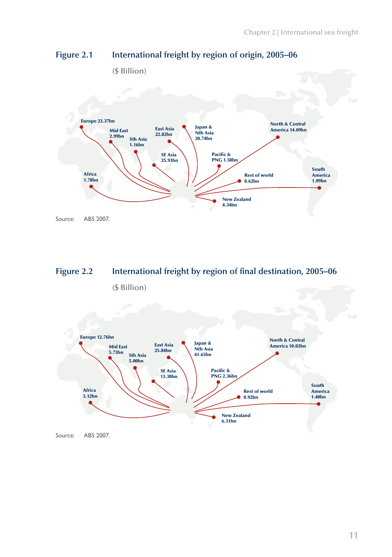

#### **Figure 2.1 International freight by region of origin, 2005–06**



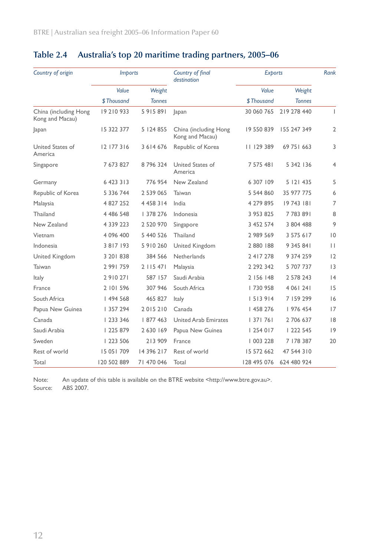| Country of origin                        | Country of final<br><b>Imports</b><br>destination |               | <b>Exports</b>                           |             | Rank          |                |
|------------------------------------------|---------------------------------------------------|---------------|------------------------------------------|-------------|---------------|----------------|
|                                          | Value                                             | Weight        |                                          | Value       | Weight        |                |
|                                          | \$Thousand                                        | <b>Tonnes</b> |                                          | \$Thousand  | <b>Tonnes</b> |                |
| China (including Hong<br>Kong and Macau) | 19 210 933                                        | 5 9 1 5 8 9 1 | apan                                     | 30 060 765  | 219 278 440   | $\mathbf{L}$   |
| Japan                                    | 15 322 377                                        | 5 124 855     | China (including Hong<br>Kong and Macau) | 19 550 839  | 155 247 349   | $\overline{2}$ |
| United States of<br>America              | 12 177 316                                        | 3 6 14 6 76   | Republic of Korea                        | 11 129 389  | 69 75   663   | 3              |
| Singapore                                | 7 673 827                                         | 8796324       | United States of<br>America              | 7 575 481   | 5 342 136     | 4              |
| Germany                                  | 6 423 313                                         | 776 954       | New Zealand                              | 6 307 109   | 5 121 435     | 5              |
| Republic of Korea                        | 5 336 744                                         | 2 539 065     | Taiwan                                   | 5 544 860   | 35 977 775    | 6              |
| Malaysia                                 | 4 827 252                                         | 4 4 5 8 3 1 4 | India                                    | 4 279 895   | 19743 181     | $\overline{7}$ |
| Thailand                                 | 4 486 548                                         | 378 276       | Indonesia                                | 3 953 825   | 7783891       | 8              |
| New Zealand                              | 4 339 223                                         | 2 520 970     | Singapore                                | 3 452 574   | 3 804 488     | 9              |
| Vietnam                                  | 4 096 400                                         | 5 440 526     | Thailand                                 | 2 989 569   | 3 575 617     | $\overline{0}$ |
| Indonesia                                | 3 8 1 7 1 9 3                                     | 5 910 260     | United Kingdom                           | 2 880 188   | 9 345 841     | $\Box$         |
| United Kingdom                           | 3 20   838                                        | 384 566       | Netherlands                              | 2 417 278   | 9 374 259     | 12             |
| Taiwan                                   | 2991759                                           | 2 115 471     | Malaysia                                 | 2 292 342   | 5 707 737     | 3              |
| Italy                                    | 2910271                                           | 587 157       | Saudi Arabia                             | 2   56   48 | 2 578 243     | 4              |
| France                                   | 2 101 596                                         | 307 946       | South Africa                             | 730 958     | 4 06   24     | 15             |
| South Africa                             | 494 568                                           | 465 827       | <b>Italy</b>                             | 5   3 9   4 | 7 159 299     | 16             |
| Papua New Guinea                         | 357 294                                           | 2015210       | Canada                                   | 458 276     | 976 454       | 17             |
| Canada                                   | 233 346                                           | 877 463       | <b>United Arab Emirates</b>              | 1371761     | 2 706 637     | 8              |
| Saudi Arabia                             | 225 879                                           | 2 630 169     | Papua New Guinea                         | 254 017     | 222 545       | 9              |
| Sweden                                   | 223 506                                           | 213 909       | France                                   | 003 228     | 7 178 387     | 20             |
| Rest of world                            | 15 05 1 709                                       | 14 396 217    | Rest of world                            | 15 572 662  | 47 544 310    |                |
| Total                                    | 120 502 889                                       | 71 470 046    | Total                                    | 128 495 076 | 624 480 924   |                |

### **Table 2.4 Australia's top 20 maritime trading partners, 2005–06**

Note: An update of this table is available on the BTRE website <http://www.btre.gov.au>. Source: ABS 2007.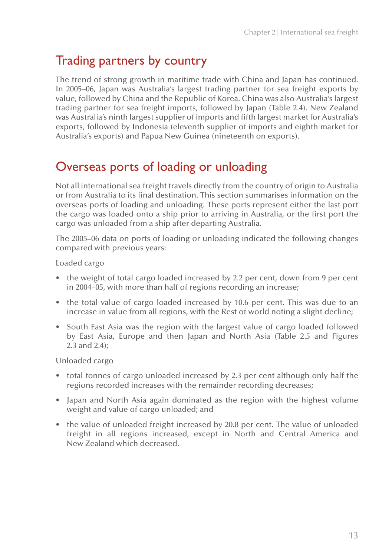### Trading partners by country

The trend of strong growth in maritime trade with China and Japan has continued. In 2005–06, Japan was Australia's largest trading partner for sea freight exports by value, followed by China and the Republic of Korea. China was also Australia's largest trading partner for sea freight imports, followed by Japan (Table 2.4). New Zealand was Australia's ninth largest supplier of imports and fifth largest market for Australia's exports, followed by Indonesia (eleventh supplier of imports and eighth market for Australia's exports) and Papua New Guinea (nineteenth on exports).

### Overseas ports of loading or unloading

Not all international sea freight travels directly from the country of origin to Australia or from Australia to its final destination. This section summarises information on the overseas ports of loading and unloading. These ports represent either the last port the cargo was loaded onto a ship prior to arriving in Australia, or the first port the cargo was unloaded from a ship after departing Australia.

The 2005–06 data on ports of loading or unloading indicated the following changes compared with previous years:

Loaded cargo

- the weight of total cargo loaded increased by 2.2 per cent, down from 9 per cent in 2004–05, with more than half of regions recording an increase;
- the total value of cargo loaded increased by 10.6 per cent. This was due to an increase in value from all regions, with the Rest of world noting a slight decline;
- South East Asia was the region with the largest value of cargo loaded followed by East Asia, Europe and then Japan and North Asia (Table 2.5 and Figures 2.3 and 2.4);

Unloaded cargo

- total tonnes of cargo unloaded increased by 2.3 per cent although only half the regions recorded increases with the remainder recording decreases;
- Japan and North Asia again dominated as the region with the highest volume weight and value of cargo unloaded; and
- the value of unloaded freight increased by 20.8 per cent. The value of unloaded freight in all regions increased, except in North and Central America and New Zealand which decreased.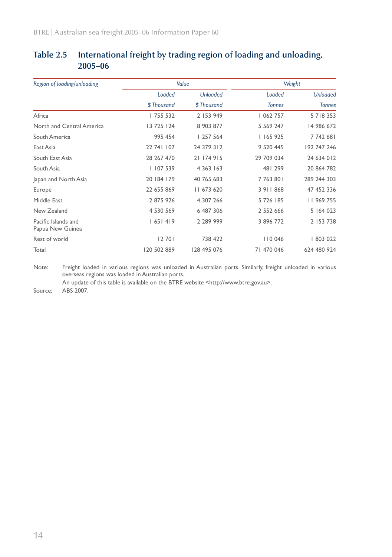| Region of loading/unloading             |             | Value           | Weight        |                 |  |
|-----------------------------------------|-------------|-----------------|---------------|-----------------|--|
|                                         | Loaded      | <b>Unloaded</b> | Loaded        | <b>Unloaded</b> |  |
|                                         | \$Thousand  | \$Thousand      | <b>Tonnes</b> | <b>Tonnes</b>   |  |
| Africa                                  | 755 532     | 2 153 949       | 062 757       | 5718353         |  |
| North and Central America               | 13 725 124  | 8 903 877       | 5 569 247     | 14 986 672      |  |
| South America                           | 995 454     | 257 564         | 1165925       | 7742681         |  |
| East Asia                               | 22 741 107  | 24 379 312      | 9 520 445     | 192 747 246     |  |
| South East Asia                         | 28 267 470  | 21 174 915      | 29 709 034    | 24 634 012      |  |
| South Asia                              | 107 539     | 4 3 63 1 63     | 481 299       | 20 864 782      |  |
| Japan and North Asia                    | 20 184 179  | 40 765 683      | 7763801       | 289 244 303     |  |
| Europe                                  | 22 655 869  | 11 673 620      | 3 9 1 8 6 8   | 47 452 336      |  |
| Middle East                             | 2 875 926   | 4 307 266       | 5 726 185     | 11 969 755      |  |
| New Zealand                             | 4 530 569   | 6 487 306       | 2 552 666     | 5 164 023       |  |
| Pacific Islands and<br>Papua New Guinea | 1651419     | 2 289 999       | 3 896 772     | 2 153 738       |  |
| Rest of world                           | 12701       | 738 422         | 110 046       | 803 022         |  |
| Total                                   | 120 502 889 | 128 495 076     | 71 470 046    | 624 480 924     |  |

### **Table 2.5 International freight by trading region of loading and unloading, 2005–06**

Note: Freight loaded in various regions was unloaded in Australian ports. Similarly, freight unloaded in various overseas regions was loaded in Australian ports.

An update of this table is available on the BTRE website <http://www.btre.gov.au>.

Source: ABS 2007.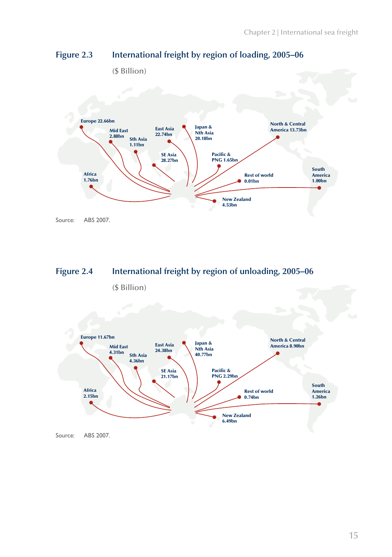

### **Figure 2.3 International freight by region of loading, 2005–06**



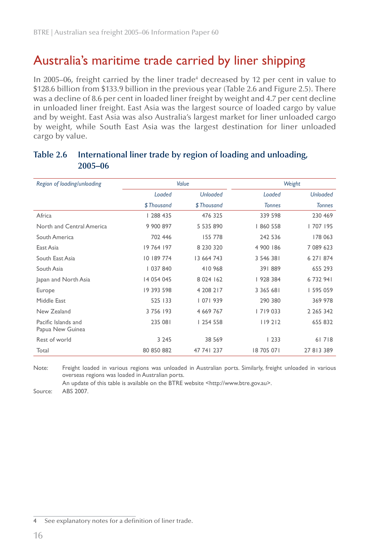### Australia's maritime trade carried by liner shipping

In 2005–06, freight carried by the liner trade<sup>4</sup> decreased by 12 per cent in value to \$128.6 billion from \$133.9 billion in the previous year (Table 2.6 and Figure 2.5). There was a decline of 8.6 per cent in loaded liner freight by weight and 4.7 per cent decline in unloaded liner freight. East Asia was the largest source of loaded cargo by value and by weight. East Asia was also Australia's largest market for liner unloaded cargo by weight, while South East Asia was the largest destination for liner unloaded cargo by value.

| Region of loading/unloading             |            | Value           |               | Weight          |
|-----------------------------------------|------------|-----------------|---------------|-----------------|
|                                         | Loaded     | <b>Unloaded</b> | Loaded        | <b>Unloaded</b> |
|                                         | \$Thousand | \$Thousand      | <b>Tonnes</b> | <b>Tonnes</b>   |
| Africa                                  | 288 435    | 476 325         | 339 598       | 230 469         |
| North and Central America               | 9 900 897  | 5 535 890       | 860 558       | 707   95        |
| South America                           | 702 446    | 155 778         | 242 536       | 178 063         |
| East Asia                               | 19 764 197 | 8 230 320       | 4 900 186     | 7 089 623       |
| South East Asia                         | 10 189 774 | 13 664 743      | 3 546 381     | 6 27   874      |
| South Asia                              | 037 840    | 410 968         | 391889        | 655 293         |
| Japan and North Asia                    | 14 054 045 | 8 0 24 162      | 928 384       | 6732941         |
| Europe                                  | 19 393 598 | 4 208 217       | 3 3 6 5 6 8 1 | 595 059         |
| Middle East                             | 525 133    | 07  939         | 290 380       | 369 978         |
| New Zealand                             | 3 756 193  | 4 669 767       | 7   9 0 3 3   | 2 2 6 5 3 4 2   |
| Pacific Islands and<br>Papua New Guinea | 235 081    | 254 558         | 119212        | 655 832         |
| Rest of world                           | 3 2 4 5    | 38 5 69         | 1233          | 61718           |
| Total                                   | 80 850 882 | 47 741 237      | 18 705 071    | 27 813 389      |

#### **Table 2.6 International liner trade by region of loading and unloading, 2005–06**

Note: Freight loaded in various regions was unloaded in Australian ports. Similarly, freight unloaded in various overseas regions was loaded in Australian ports.

An update of this table is available on the BTRE website <http://www.btre.gov.au>.

Source: ABS 2007.

<sup>4</sup> See explanatory notes for a definition of liner trade.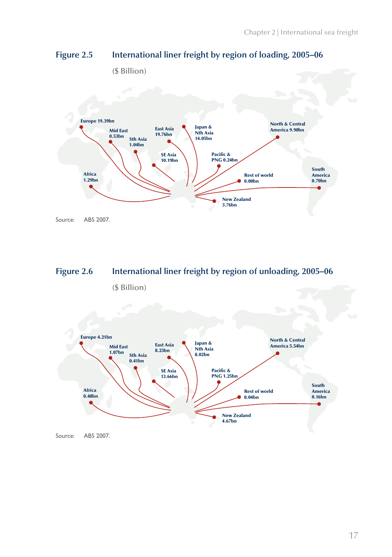

#### **Figure 2.5 International liner freight by region of loading, 2005–06**



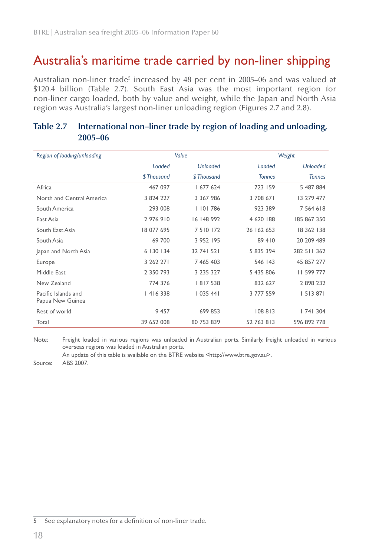### Australia's maritime trade carried by non-liner shipping

Australian non-liner trade $^5$  increased by 48 per cent in 2005–06 and was valued at \$120.4 billion (Table 2.7). South East Asia was the most important region for non-liner cargo loaded, both by value and weight, while the Japan and North Asia region was Australia's largest non-liner unloading region (Figures 2.7 and 2.8).

| Region of loading/unloading             |            | Value           | Weight        |                 |  |  |
|-----------------------------------------|------------|-----------------|---------------|-----------------|--|--|
|                                         | Loaded     | <b>Unloaded</b> | Loaded        | <b>Unloaded</b> |  |  |
|                                         | \$Thousand | \$Thousand      | <b>Tonnes</b> | <b>Tonnes</b>   |  |  |
| Africa                                  | 467 097    | 677 624         | 723 159       | 5 487 884       |  |  |
| North and Central America               | 3 824 227  | 3 367 986       | 3 708 671     | 13 279 477      |  |  |
| South America                           | 293 008    | 0   786         | 923 389       | 7 5 6 4 6 1 8   |  |  |
| East Asia                               | 2976910    | 16 148 992      | 4 620 188     | 185 867 350     |  |  |
| South East Asia                         | 18 077 695 | 7 5 10 172      | 26 162 653    | 18 362 138      |  |  |
| South Asia                              | 69 700     | 3 952 195       | 89 410        | 20 209 489      |  |  |
| Japan and North Asia                    | 6 130 134  | 32 741 521      | 5 835 394     | 282 511 362     |  |  |
| Europe                                  | 3 262 271  | 7 465 403       | 546 143       | 45 857 277      |  |  |
| Middle East                             | 2 350 793  | 3 235 327       | 5 435 806     | 11 599 777      |  |  |
| New Zealand                             | 774 376    | 8 7538          | 832 627       | 2898232         |  |  |
| Pacific Islands and<br>Papua New Guinea | 4  6 338   | 1035441         | 3 777 559     | 5   3 8 7       |  |  |
| Rest of world                           | 9 4 5 7    | 699 853         | 108813        | 74  304         |  |  |
| Total                                   | 39 652 008 | 80 753 839      | 52 763 813    | 596 892 778     |  |  |

#### **Table 2.7 International non–liner trade by region of loading and unloading, 2005–06**

Note: Freight loaded in various regions was unloaded in Australian ports. Similarly, freight unloaded in various overseas regions was loaded in Australian ports.

An update of this table is available on the BTRE website <http://www.btre.gov.au>.

Source: ABS 2007.

<sup>5</sup> See explanatory notes for a definition of non-liner trade.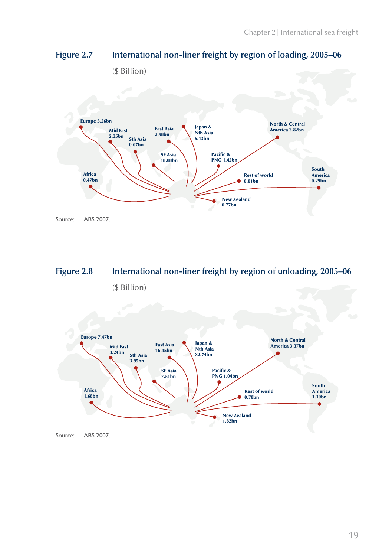

### **Figure 2.7 International non-liner freight by region of loading, 2005–06**



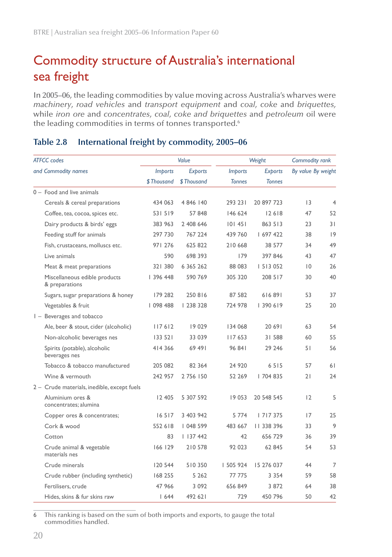### Commodity structure of Australia's international sea freight

In 2005–06, the leading commodities by value moving across Australia's wharves were *machinery*, *road vehicles* and *transport equipment* and *coal*, *coke* and *briquettes,* while *iron ore* and *concentrates*, *coal*, *coke and briquettes* and *petroleum* oil were the leading commodities in terms of tonnes transported.<sup>6</sup>

| <b>ATFCC</b> codes |                                                 | Value          |                | Weight         | Commodity rank |                    |                |
|--------------------|-------------------------------------------------|----------------|----------------|----------------|----------------|--------------------|----------------|
|                    | and Commodity names                             | <i>Imports</i> | <b>Exports</b> | <b>Imports</b> | <b>Exports</b> | By value By weight |                |
|                    |                                                 | \$Thousand     | \$Thousand     | <b>Tonnes</b>  | <b>Tonnes</b>  |                    |                |
|                    | $0 -$ Food and live animals                     |                |                |                |                |                    |                |
|                    | Cereals & cereal preparations                   | 434 063        | 4 846 140      | 293 231        | 20 897 723     | 3                  | $\overline{4}$ |
|                    | Coffee, tea, cocoa, spices etc.                 | 531519         | 57 848         | 146 624        | 12618          | 47                 | 52             |
|                    | Dairy products & birds' eggs                    | 383 963        | 2 408 646      | 101451         | 863 513        | 23                 | 31             |
|                    | Feeding stuff for animals                       | 297 730        | 767 224        | 439 760        | 697 422        | 38                 | 9              |
|                    | Fish, crustaceans, molluscs etc.                | 971 276        | 625 822        | 210 668        | 38 577         | 34                 | 49             |
|                    | Live animals                                    | 590            | 698 393        | 179            | 397 846        | 43                 | 47             |
|                    | Meat & meat preparations                        | 321 380        | 6 3 6 5 2 6 2  | 88 083         | 513 052        | $ 0\rangle$        | 26             |
|                    | Miscellaneous edible products<br>& preparations | 396 448        | 590 769        | 305 320        | 208 517        | 30                 | 40             |
|                    | Sugars, sugar preparations & honey              | 179 282        | 250816         | 87 582         | 616891         | 53                 | 37             |
|                    | Vegetables & fruit                              | 098 488        | 238 328        | 724 978        | 390 619        | 25                 | 20             |
|                    | $I -$ Beverages and tobacco                     |                |                |                |                |                    |                |
|                    | Ale, beer & stout, cider (alcoholic)            | 117612         | 19029          | 134 068        | 20 691         | 63                 | 54             |
|                    | Non-alcoholic beverages nes                     | 133 521        | 33 039         | 117653         | 31 588         | 60                 | 55             |
|                    | Spirits (potable), alcoholic<br>beverages nes   | 414 366        | 69 491         | 96 841         | 29 24 6        | 51                 | 56             |
|                    | Tobacco & tobacco manufactured                  | 205 082        | 82 364         | 24 9 20        | 6515           | 57                 | 61             |
|                    | Wine & vermouth                                 | 242 957        | 2 756 150      | 52 269         | 704 835        | 21                 | 24             |
|                    | 2 - Crude materials, inedible, except fuels     |                |                |                |                |                    |                |
|                    | Aluminium ores &<br>concentrates; alumina       | 12 405         | 5 307 592      | 19 053         | 20 548 545     | 12                 | 5              |
|                    | Copper ores & concentrates;                     | 16517          | 3 403 942      | 5 7 7 4        | 7  7375        | 17                 | 25             |
|                    | Cork & wood                                     | 552 618        | 048 599        | 483 667        | 11 338 396     | 33                 | 9              |
|                    | Cotton                                          | 83             | 1137442        | 42             | 656 729        | 36                 | 39             |
|                    | Crude animal & vegetable<br>materials nes       | 166 129        | 210 578        | 92 023         | 62 845         | 54                 | 53             |
|                    | Crude minerals                                  | 120 544        | 510350         | 505 924        | 15 276 037     | 44                 | 7              |
|                    | Crude rubber (including synthetic)              | 168 255        | 5 2 6 2        | 77 775         | 3 3 5 4        | 59                 | 58             |
|                    | Fertilisers, crude                              | 47 966         | 3 0 9 2        | 656 849        | 3 872          | 64                 | 38             |
|                    | Hides, skins & fur skins raw                    | 1644           | 492 621        | 729            | 450 796        | 50                 | 42             |

### **Table 2.8 International freight by commodity, 2005–06**

6 This ranking is based on the sum of both imports and exports, to gauge the total commodities handled.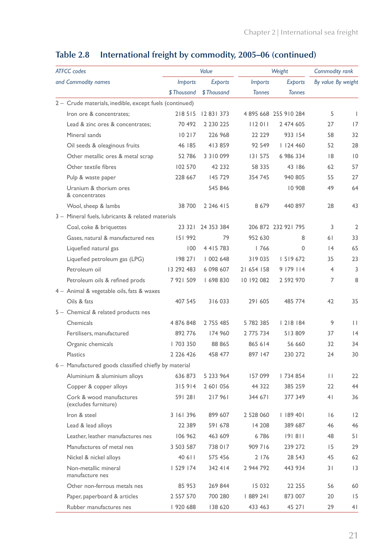| <b>ATFCC</b> codes                                      |                | Value             |                | Commodity rank      |                    |                |
|---------------------------------------------------------|----------------|-------------------|----------------|---------------------|--------------------|----------------|
| and Commodity names                                     | <i>Imports</i> | <b>Exports</b>    | <i>Imports</i> | <b>Exports</b>      | By value By weight |                |
|                                                         | \$Thousand     | \$Thousand        | <b>Tonnes</b>  | <b>Tonnes</b>       |                    |                |
| 2 - Crude materials, inedible, except fuels (continued) |                |                   |                |                     |                    |                |
| Iron ore & concentrates:                                | 218515         | 12 83 1 373       |                | 4895668 255 910 284 | 5                  | $\mathbf{I}$   |
| Lead & zinc ores & concentrates;                        | 70 492         | 2 2 3 0 2 2 5     | 112011         | 2 474 605           | 27                 | 17             |
| Mineral sands                                           | 10217          | 226 968           | 22 229         | 933 154             | 58                 | 32             |
| Oil seeds & oleaginous fruits                           | 46 185         | 413859            | 92 549         | 1124460             | 52                 | 28             |
| Other metallic ores & metal scrap                       | 52 786         | 3 3 10 0 9 9      | 131 575        | 6 986 334           | 8                  | $\overline{0}$ |
| Other textile fibres                                    | 102 570        | 42 232            | 58 335         | 43 186              | 62                 | 57             |
| Pulp & waste paper                                      | 228 667        | 145 729           | 354 745        | 940 805             | 55                 | 27             |
| Uranium & thorium ores<br>& concentrates                |                | 545 846           |                | 10 908              | 49                 | 64             |
| Wool, sheep & lambs                                     | 38 700         | 2 2 4 4 1 5       | 8679           | 440 897             | 28                 | 43             |
| 3 - Mineral fuels, lubricants & related materials       |                |                   |                |                     |                    |                |
| Coal, coke & briquettes                                 |                | 23 321 24 353 384 |                | 206 872 232 921 795 | 3                  | $\overline{2}$ |
| Gases, natural & manufactured nes                       | 151992         | 79                | 952 630        | 8                   | 61                 | 33             |
| Liquefied natural gas                                   | 100            | 4 4 1 5 7 8 3     | 1766           | 0                   | 4                  | 65             |
| Liquefied petroleum gas (LPG)                           | 198 271        | 002 648           | 319035         | 5  9672             | 35                 | 23             |
| Petroleum oil                                           | 13 292 483     | 6 098 607         | 21 654 158     | 9 179 114           | 4                  | 3              |
| Petroleum oils & refined prods                          | 7921509        | 698 830           | 10 192 082     | 2 592 970           | 7                  | 8              |
| 4 - Animal & vegetable oils, fats & waxes               |                |                   |                |                     |                    |                |
| Oils & fats                                             | 407 545        | 316033            | 291 605        | 485 774             | 42                 | 35             |
| 5 - Chemical & related products nes                     |                |                   |                |                     |                    |                |
| Chemicals                                               | 4 876 848      | 2 755 485         | 5 782 385      | 218 184             | 9                  | П              |
| Fertilisers, manufactured                               | 892 776        | 174 960           | 2 775 734      | 513809              | 37                 | 4              |
| Organic chemicals                                       | 703 350        | 88 865            | 865 614        | 56 660              | 32                 | 34             |
| <b>Plastics</b>                                         | 2 2 2 4 2 6    | 458 477           | 897 147        | 230 272             | 24                 | 30             |
| 6 - Manufactured goods classified chiefly by material   |                |                   |                |                     |                    |                |
| Aluminium & aluminium alloys                            | 636 873        | 5 233 964         | 157 099        | 734 854             | П                  | 22             |
| Copper & copper alloys                                  | 315914         | 2 601 056         | 44 322         | 385 259             | 22                 | 44             |
| Cork & wood manufactures<br>(excludes furniture)        | 591 281        | 217961            | 344 671        | 377 349             | 4 <sup>1</sup>     | 36             |
| Iron & steel                                            | 3 161 396      | 899 607           | 2 528 060      | 189 401             | 16                 | 2              |
| Lead & lead alloys                                      | 22 389         | 591 678           | 14 208         | 389 687             | 46                 | 46             |
| Leather, leather manufactures nes                       | 106 962        | 463 609           | 6786           | 191811              | 48                 | 51             |
| Manufactures of metal nes                               | 3 503 587      | 738 017           | 909 716        | 239 272             | 15                 | 29             |
| Nickel & nickel alloys                                  | 40 6 1 1       | 575 456           | 2 176          | 28 543              | 45                 | 62             |
| Non-metallic mineral<br>manufacture nes                 | 529 174        | 342 414           | 2 944 792      | 443 934             | 31                 | 3              |
| Other non-ferrous metals nes                            | 85 953         | 269 844           | 15 032         | 22 255              | 56                 | 60             |
| Paper, paperboard & articles                            | 2 557 570      | 700 280           | 889 24         | 873 007             | 20                 | 15             |
| Rubber manufactures nes                                 | 920 688        | 138 620           | 433 463        | 45 27               | 29                 | 41             |

### **Table 2.8 International freight by commodity, 2005–06 (continued)**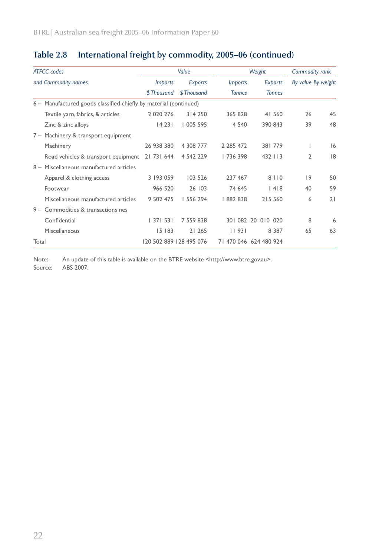| <b>ATFCC</b> codes                                                    |                         | Value      |                | Weight                 | Commodity rank     |    |
|-----------------------------------------------------------------------|-------------------------|------------|----------------|------------------------|--------------------|----|
| and Commodity names                                                   | <i>Imports</i>          | Exports    | <i>Imports</i> | Exports                | By value By weight |    |
|                                                                       | \$Thousand              | \$Thousand | <b>Tonnes</b>  | <b>Tonnes</b>          |                    |    |
| Manufactured goods classified chiefly by material (continued)<br>$6-$ |                         |            |                |                        |                    |    |
| Textile yarn, fabrics, & articles                                     | 2 0 2 0 2 7 6           | 314 250    | 365 828        | 41 560                 | 26                 | 45 |
| Zinc & zinc alloys                                                    | 14231                   | 005 595    | 4 5 4 0        | 390 843                | 39                 | 48 |
| 7 – Machinery & transport equipment                                   |                         |            |                |                        |                    |    |
| Machinery                                                             | 26 938 380              | 4 308 777  | 2 2 8 4 7 2    | 381779                 | ı                  | 16 |
| Road vehicles & transport equipment                                   | 21 731 644              | 4 542 229  | 736 398        | 432 113                | 2                  | 8  |
| 8 - Miscellaneous manufactured articles                               |                         |            |                |                        |                    |    |
| Apparel & clothing access                                             | 3 193 059               | 103 526    | 237 467        | 8 1 1 0                | 9                  | 50 |
| Footwear                                                              | 966 520                 | 26 103     | 74 645         | 4 8                    | 40                 | 59 |
| Miscellaneous manufactured articles                                   | 9 502 475               | 556 294    | 882 838        | 215 560                | 6                  | 21 |
| 9 - Commodities & transactions nes                                    |                         |            |                |                        |                    |    |
| Confidential                                                          | 1371531                 | 7 559 838  |                | 301 082 20 010 020     | 8                  | 6  |
| <b>Miscellaneous</b>                                                  | 15 183                  | 21 265     | 11931          | 8 3 8 7                | 65                 | 63 |
| Total                                                                 | 120 502 889 128 495 076 |            |                | 71 470 046 624 480 924 |                    |    |

### **Table 2.8 International freight by commodity, 2005–06 (continued)**

Note: An update of this table is available on the BTRE website <http://www.btre.gov.au>. Source: ABS 2007.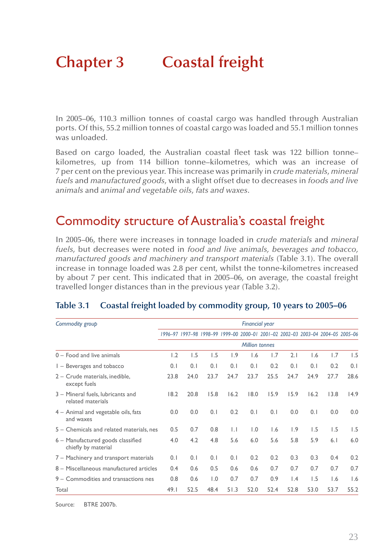# **Chapter 3 Coastal freight**

In 2005–06, 110.3 million tonnes of coastal cargo was handled through Australian ports. Of this, 55.2 million tonnes of coastal cargo was loaded and 55.1 million tonnes was unloaded.

Based on cargo loaded, the Australian coastal fleet task was 122 billion tonne– kilometres, up from 114 billion tonne–kilometres, which was an increase of 7 per cent on the previous year. This increase was primarily in *crude materials*, *mineral fuels* and *manufactured goods*, with a slight offset due to decreases in *foods and live animals* and *animal and vegetable oils*, *fats and waxes*.

### Commodity structure of Australia's coastal freight

In 2005–06, there were increases in tonnage loaded in *crude materials* and *mineral fuels*, but decreases were noted in *food and live animals, beverages and tobacco, manufactured goods and machinery and transport materials* (Table 3.1). The overall increase in tonnage loaded was 2.8 per cent, whilst the tonne-kilometres increased by about 7 per cent. This indicated that in 2005–06, on average, the coastal freight travelled longer distances than in the previous year (Table 3.2).

| Commodity group                                          |                       |      |                  |              | <b>Financial year</b> |      |                                                                                 |      |      |      |
|----------------------------------------------------------|-----------------------|------|------------------|--------------|-----------------------|------|---------------------------------------------------------------------------------|------|------|------|
|                                                          |                       |      |                  |              |                       |      | 1996-97 1997-98 1998-99 1999-00 2000-01 2001-02 2002-03 2003-04 2004-05 2005-06 |      |      |      |
|                                                          | <b>Million tonnes</b> |      |                  |              |                       |      |                                                                                 |      |      |      |
| 0 - Food and live animals                                | 1.2                   | 1.5  | 1.5              | 1.9          | 1.6                   | 1.7  | 2.1                                                                             | 1.6  | 1.7  | 1.5  |
| $I -$ Beverages and tobacco                              | 0.1                   | 0.1  | 0.1              | 0.1          | 0.1                   | 0.2  | 0.1                                                                             | 0.1  | 0.2  | 0.1  |
| 2 - Crude materials, inedible,<br>except fuels           | 23.8                  | 24.0 | 23.7             | 24.7         | 23.7                  | 25.5 | 24.7                                                                            | 24.9 | 27.7 | 28.6 |
| 3 - Mineral fuels, lubricants and<br>related materials   | 18.2                  | 20.8 | 15.8             | 16.2         | 18.0                  | 15.9 | 15.9                                                                            | 16.2 | 13.8 | 14.9 |
| 4 - Animal and vegetable oils, fats<br>and waxes         | 0.0                   | 0.0  | 0.1              | 0.2          | 0.1                   | 0.1  | 0.0                                                                             | 0.1  | 0.0  | 0.0  |
| 5 - Chemicals and related materials, nes                 | 0.5                   | 0.7  | 0.8              | $\mathsf{L}$ | $\overline{1.0}$      | 1.6  | 1.9                                                                             | 1.5  | 1.5  | 1.5  |
| 6 - Manufactured goods classified<br>chiefly by material | 4.0                   | 4.2  | 4.8              | 5.6          | 6.0                   | 5.6  | 5.8                                                                             | 5.9  | 6.1  | 6.0  |
| 7 – Machinery and transport materials                    | 0.1                   | 0.1  | 0.1              | 0.1          | 0.2                   | 0.2  | 0.3                                                                             | 0.3  | 0.4  | 0.2  |
| 8 - Miscellaneous manufactured articles                  | 0.4                   | 0.6  | 0.5              | 0.6          | 0.6                   | 0.7  | 0.7                                                                             | 0.7  | 0.7  | 0.7  |
| 9 – Commodities and transactions nes                     | 0.8                   | 0.6  | $\overline{1.0}$ | 0.7          | 0.7                   | 0.9  | $\mathsf{I}$ .4                                                                 | 1.5  | 1.6  | 1.6  |
| Total                                                    | 49.1                  | 52.5 | 48.4             | 51.3         | 52.0                  | 52.4 | 52.8                                                                            | 53.0 | 53.7 | 55.2 |

#### **Table 3.1 Coastal freight loaded by commodity group, 10 years to 2005–06**

Source: BTRE 2007b.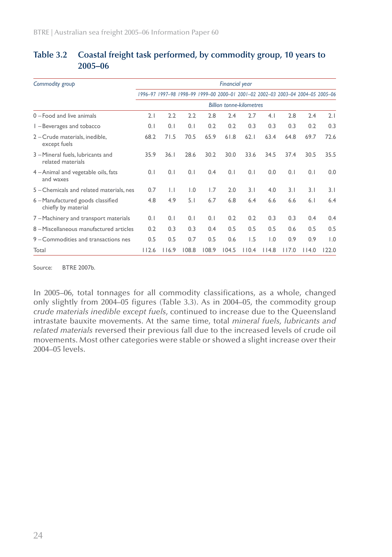| Commodity group                                          |                                 |              |                  |       | <b>Financial year</b> |       |                  |       |                                                                                 |       |
|----------------------------------------------------------|---------------------------------|--------------|------------------|-------|-----------------------|-------|------------------|-------|---------------------------------------------------------------------------------|-------|
|                                                          |                                 |              |                  |       |                       |       |                  |       | 1996-97 1997-98 1998-99 1999-00 2000-01 2001-02 2002-03 2003-04 2004-05 2005-06 |       |
|                                                          | <b>Billion tonne-kilometres</b> |              |                  |       |                       |       |                  |       |                                                                                 |       |
| 0 - Food and live animals                                | 2.1                             | 2.2          | 2.2              | 2.8   | 2.4                   | 2.7   | 4.1              | 2.8   | 2.4                                                                             | 2.1   |
| I - Beverages and tobacco                                | 0.1                             | 0.1          | 0.1              | 0.2   | 0.2                   | 0.3   | 0.3              | 0.3   | 0.2                                                                             | 0.3   |
| 2 - Crude materials, inedible,<br>except fuels           | 68.2                            | 71.5         | 70.5             | 65.9  | 61.8                  | 62.1  | 63.4             | 64.8  | 69.7                                                                            | 72.6  |
| 3 - Mineral fuels, lubricants and<br>related materials   | 35.9                            | 36.1         | 28.6             | 30.2  | 30.0                  | 33.6  | 34.5             | 37.4  | 30.5                                                                            | 35.5  |
| 4 – Animal and vegetable oils, fats<br>and waxes         | 0.1                             | 0.1          | 0.1              | 0.4   | 0.1                   | 0.1   | 0.0              | 0.1   | 0.1                                                                             | 0.0   |
| 5 - Chemicals and related materials, nes                 | 0.7                             | $\mathsf{L}$ | $\overline{1.0}$ | 1.7   | 2.0                   | 3.1   | 4.0              | 3.1   | 3.1                                                                             | 3.1   |
| 6 - Manufactured goods classified<br>chiefly by material | 4.8                             | 4.9          | 5.1              | 6.7   | 6.8                   | 6.4   | 6.6              | 6.6   | 6.1                                                                             | 6.4   |
| 7 – Machinery and transport materials                    | 0.1                             | 0.1          | 0.1              | 0.1   | 0.2                   | 0.2   | 0.3              | 0.3   | 0.4                                                                             | 0.4   |
| 8 - Miscellaneous manufactured articles                  | 0.2                             | 0.3          | 0.3              | 0.4   | 0.5                   | 0.5   | 0.5              | 0.6   | 0.5                                                                             | 0.5   |
| 9 – Commodities and transactions nes                     | 0.5                             | 0.5          | 0.7              | 0.5   | 0.6                   | 1.5   | $\overline{1.0}$ | 0.9   | 0.9                                                                             | 1.0   |
| Total                                                    | 112.6                           | 116.9        | 108.8            | 108.9 | 104.5                 | 110.4 | 114.8            | 117.0 | 114.0                                                                           | 122.0 |

### **Table 3.2 Coastal freight task performed, by commodity group, 10 years to 2005–06**

Source: BTRE 2007b.

In 2005–06, total tonnages for all commodity classifications, as a whole, changed only slightly from 2004–05 figures (Table 3.3). As in 2004–05, the commodity group *crude materials inedible except fuels*, continued to increase due to the Queensland intrastate bauxite movements. At the same time, total *mineral fuels, lubricants and related materials* reversed their previous fall due to the increased levels of crude oil movements. Most other categories were stable or showed a slight increase over their 2004–05 levels.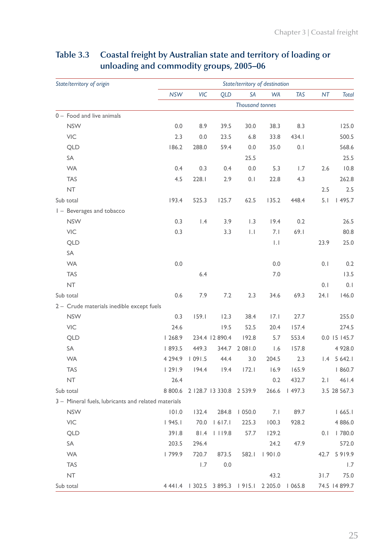| State/territory of origin                           | State/territory of destination |             |                                                 |                        |             |        |      |               |  |
|-----------------------------------------------------|--------------------------------|-------------|-------------------------------------------------|------------------------|-------------|--------|------|---------------|--|
|                                                     | <b>NSW</b>                     | VIC         | QLD                                             | SA                     | WA          | TAS    | NT   | Total         |  |
|                                                     |                                |             |                                                 | <b>Thousand tonnes</b> |             |        |      |               |  |
| 0 - Food and live animals                           |                                |             |                                                 |                        |             |        |      |               |  |
| <b>NSW</b>                                          | 0.0                            | 8.9         | 39.5                                            | 30.0                   | 38.3        | 8.3    |      | 125.0         |  |
| VIC                                                 | 2.3                            | 0.0         | 23.5                                            | 6.8                    | 33.8        | 434.1  |      | 500.5         |  |
| <b>QLD</b>                                          | 186.2                          | 288.0       | 59.4                                            | 0.0                    | 35.0        | 0.1    |      | 568.6         |  |
| SA                                                  |                                |             |                                                 | 25.5                   |             |        |      | 25.5          |  |
| <b>WA</b>                                           | 0.4                            | 0.3         | 0.4                                             | 0.0                    | 5.3         | 1.7    | 2.6  | 10.8          |  |
| <b>TAS</b>                                          | 4.5                            | 228.1       | 2.9                                             | 0.1                    | 22.8        | 4.3    |      | 262.8         |  |
| NT                                                  |                                |             |                                                 |                        |             |        | 2.5  | 2.5           |  |
| Sub total                                           | 193.4                          | 525.3       | 125.7                                           | 62.5                   | 135.2       | 448.4  | 5.1  | 1495.7        |  |
| I - Beverages and tobacco                           |                                |             |                                                 |                        |             |        |      |               |  |
| <b>NSW</b>                                          | 0.3                            | 1.4         | 3.9                                             | 1.3                    | 19.4        | 0.2    |      | 26.5          |  |
| VIC                                                 | 0.3                            |             | 3.3                                             | $  \, . \,  $          | 7.1         | 69.1   |      | 80.8          |  |
| <b>QLD</b>                                          |                                |             |                                                 |                        | $  \cdot  $ |        | 23.9 | 25.0          |  |
| SA                                                  |                                |             |                                                 |                        |             |        |      |               |  |
| <b>WA</b>                                           | 0.0                            |             |                                                 |                        | 0.0         |        | 0.1  | 0.2           |  |
| <b>TAS</b>                                          |                                | 6.4         |                                                 |                        | 7.0         |        |      | 13.5          |  |
| NT                                                  |                                |             |                                                 |                        |             |        | 0.1  | 0.1           |  |
| Sub total                                           | 0.6                            | 7.9         | 7.2                                             | 2.3                    | 34.6        | 69.3   | 24.1 | 146.0         |  |
| 2 - Crude materials inedible except fuels           |                                |             |                                                 |                        |             |        |      |               |  |
| <b>NSW</b>                                          | 0.3                            | 159.1       | 12.3                                            | 38.4                   | 7.1         | 27.7   |      | 255.0         |  |
| VIC                                                 | 24.6                           |             | 19.5                                            | 52.5                   | 20.4        | 157.4  |      | 274.5         |  |
| <b>QLD</b>                                          | 1268.9                         |             | 234.4 12 890.4                                  | 192.8                  | 5.7         | 553.4  |      | 0.0 15 145.7  |  |
| SA                                                  | 1893.5                         | 449.3       | 344.7                                           | 2 08 1.0               | 1.6         | 157.8  |      | 4 9 28.0      |  |
| <b>WA</b>                                           | 4 2 9 4 . 9                    | 1091.5      | 44.4                                            | 3.0                    | 204.5       | 2.3    |      | $1.4$ 5 642.1 |  |
| <b>TAS</b>                                          | 1291.9                         | 194.4       | 19.4                                            | 172.1                  | 16.9        | 165.9  |      | 1860.7        |  |
| NT                                                  | 26.4                           |             |                                                 |                        | 0.2         | 432.7  | 2.1  | 461.4         |  |
| Sub total                                           | 8 800.6                        |             | 2   28.7   3 330.8 2 539.9                      |                        | 266.6       | 1497.3 |      | 3.5 28 567.3  |  |
| 3 - Mineral fuels, lubricants and related materials |                                |             |                                                 |                        |             |        |      |               |  |
| <b>NSW</b>                                          | 101.0                          | 132.4       | 284.8                                           | 1050.0                 | 7.1         | 89.7   |      | 1665.1        |  |
| VIC                                                 | 945.                           |             | 70.0   617.1                                    | 225.3                  | 100.3       | 928.2  |      | 4 886.0       |  |
| QLD                                                 |                                |             | 391.8 81.4 1 119.8 57.7 129.2                   |                        |             |        |      | $0.1$   780.0 |  |
| SA                                                  |                                | 203.5 296.4 |                                                 |                        | 24.2        | 47.9   |      | 572.0         |  |
| <b>WA</b>                                           |                                |             | 1 799.9 720.7 873.5 582.1 1 901.0               |                        |             |        |      | 42.7 5 9 19.9 |  |
| <b>TAS</b>                                          |                                |             | $1.7$ 0.0                                       |                        |             |        |      | 1.7           |  |
| <b>NT</b>                                           |                                |             |                                                 |                        | 43.2        |        | 31.7 | 75.0          |  |
| Sub total                                           |                                |             | 4 441.4 1 302.5 3 895.3 1 915.1 2 205.0 1 065.8 |                        |             |        |      | 74.5 14 899.7 |  |

### **Table 3.3 Coastal freight by Australian state and territory of loading or unloading and commodity groups, 2005–06**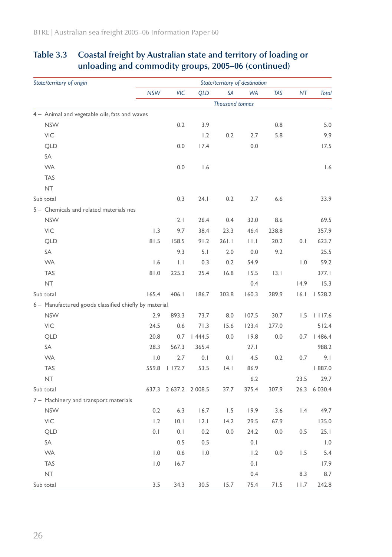| State/territory of origin                             |                         |                       |            | State/territory of destination |           |            |         |              |
|-------------------------------------------------------|-------------------------|-----------------------|------------|--------------------------------|-----------|------------|---------|--------------|
|                                                       | <b>NSW</b>              | VIC                   | <b>QLD</b> | SA                             | <b>WA</b> | <b>TAS</b> | NT      | <b>Total</b> |
|                                                       |                         |                       |            | <b>Thousand tonnes</b>         |           |            |         |              |
| 4 - Animal and vegetable oils, fats and waxes         |                         |                       |            |                                |           |            |         |              |
| <b>NSW</b>                                            |                         | 0.2                   | 3.9        |                                |           | 0.8        |         | 5.0          |
| VIC                                                   |                         |                       | 1.2        | 0.2                            | 2.7       | 5.8        |         | 9.9          |
| QLD                                                   |                         | 0.0                   | 17.4       |                                | 0.0       |            |         | 17.5         |
| SA                                                    |                         |                       |            |                                |           |            |         |              |
| <b>WA</b>                                             |                         | 0.0                   | 1.6        |                                |           |            |         | 1.6          |
| <b>TAS</b>                                            |                         |                       |            |                                |           |            |         |              |
| <b>NT</b>                                             |                         |                       |            |                                |           |            |         |              |
| Sub total                                             |                         | 0.3                   | 24.1       | 0.2                            | 2.7       | 6.6        |         | 33.9         |
| 5 - Chemicals and related materials nes               |                         |                       |            |                                |           |            |         |              |
| <b>NSW</b>                                            |                         | 2.1                   | 26.4       | 0.4                            | 32.0      | 8.6        |         | 69.5         |
| <b>VIC</b>                                            | 1.3                     | 9.7                   | 38.4       | 23.3                           | 46.4      | 238.8      |         | 357.9        |
| QLD                                                   | 81.5                    | 158.5                 | 91.2       | 261.1                          | $  \  $   | 20.2       | 0.1     | 623.7        |
| SA                                                    |                         | 9.3                   | 5.1        | 2.0                            | 0.0       | 9.2        |         | 25.5         |
| <b>WA</b>                                             | 1.6                     | $  \cdot  $           | 0.3        | 0.2                            | 54.9      |            | 1.0     | 59.2         |
| <b>TAS</b>                                            | 0.18                    | 225.3                 | 25.4       | 16.8                           | 15.5      | 3.1        |         | 377.1        |
| NT                                                    |                         |                       |            |                                | 0.4       |            | 14.9    | 15.3         |
| Sub total                                             | 165.4                   | 406.1                 | 186.7      | 303.8                          | 160.3     | 289.9      | 16.1    | 1528.2       |
| 6 - Manufactured goods classified chiefly by material |                         |                       |            |                                |           |            |         |              |
| <b>NSW</b>                                            | 2.9                     | 893.3                 | 73.7       | 8.0                            | 107.5     | 30.7       | 1.5     | 1117.6       |
| VIC                                                   | 24.5                    | 0.6                   | 71.3       | 15.6                           | 123.4     | 277.0      |         | 512.4        |
| QLD                                                   | 20.8                    | 0.7                   | 1444.5     | 0.0                            | 19.8      | 0.0        | 0.7     | 1486.4       |
| SA                                                    | 28.3                    | 567.3                 | 365.4      |                                | 27.1      |            |         | 988.2        |
| <b>WA</b>                                             | 1.0                     | 2.7                   | 0.1        | 0.1                            | 4.5       | 0.2        | 0.7     | 9.1          |
| <b>TAS</b>                                            | 559.8                   | 1172.7                | 53.5       | 4.1                            | 86.9      |            |         | 887.0        |
| NT                                                    |                         |                       |            |                                | 6.2       |            | 23.5    | 29.7         |
| Sub total                                             |                         | 637.3 2 637.2 2 008.5 |            | 37.7                           | 375.4     | 307.9      | 26.3    | 6 0 3 0.4    |
| 7 - Machinery and transport materials                 |                         |                       |            |                                |           |            |         |              |
| <b>NSW</b>                                            | 0.2                     | 6.3                   | 16.7       | 1.5                            | 19.9      | 3.6        | 1.4     | 49.7         |
| VIC                                                   | 1.2                     | 0.1                   | 2.1        | 14.2                           | 29.5      | 67.9       |         | 135.0        |
| QLD                                                   | $0.1$                   | 0.1                   | 0.2        | 0.0                            | 24.2      | 0.0        | $0.5\,$ | 25.1         |
| SA                                                    |                         | 0.5                   | 0.5        |                                | 0.1       |            |         | $\vert$ .0   |
| <b>WA</b>                                             | $\mathsf{I}.\mathsf{0}$ | 0.6                   | 1.0        |                                | 1.2       | 0.0        | 1.5     | 5.4          |
| <b>TAS</b>                                            | 1.0                     | 16.7                  |            |                                | $0.1$     |            |         | 17.9         |
| $\sf{NT}$                                             |                         |                       |            |                                | 0.4       |            | 8.3     | 8.7          |
| Sub total                                             | 3.5                     | 34.3                  | 30.5       | 15.7                           | 75.4      | $71.5$     | 11.7    | 242.8        |

## **Table 3.3 Coastal freight by Australian state and territory of loading or unloading and commodity groups, 2005–06 (continued)**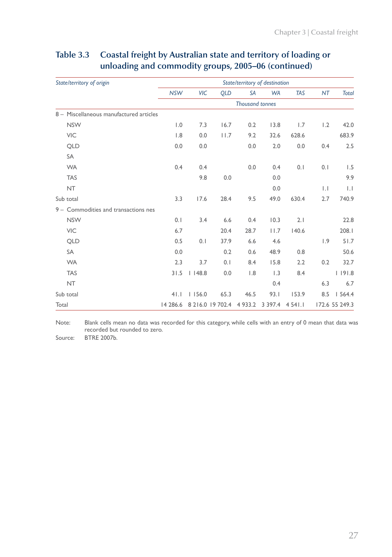| State/territory of origin               |            |            |                      | State/territory of destination |                  |            |              |                |
|-----------------------------------------|------------|------------|----------------------|--------------------------------|------------------|------------|--------------|----------------|
|                                         | <b>NSW</b> | <b>VIC</b> | <b>QLD</b>           | <b>SA</b>                      | <b>WA</b>        | <b>TAS</b> | NT           | <b>Total</b>   |
|                                         |            |            |                      | <b>Thousand tonnes</b>         |                  |            |              |                |
| 8 - Miscellaneous manufactured articles |            |            |                      |                                |                  |            |              |                |
| <b>NSW</b>                              | 1.0        | 7.3        | 16.7                 | 0.2                            | 13.8             | 1.7        | 1.2          | 42.0           |
| <b>VIC</b>                              | 1.8        | 0.0        | 11.7                 | 9.2                            | 32.6             | 628.6      |              | 683.9          |
| <b>QLD</b>                              | 0.0        | 0.0        |                      | 0.0                            | 2.0              | 0.0        | 0.4          | 2.5            |
| <b>SA</b>                               |            |            |                      |                                |                  |            |              |                |
| <b>WA</b>                               | 0.4        | 0.4        |                      | 0.0                            | 0.4              | 0.1        | 0.1          | 1.5            |
| <b>TAS</b>                              |            | 9.8        | 0.0                  |                                | 0.0              |            |              | 9.9            |
| <b>NT</b>                               |            |            |                      |                                | 0.0              |            | $\mathsf{L}$ | $  \cdot  $    |
| Sub total                               | 3.3        | 17.6       | 28.4                 | 9.5                            | 49.0             | 630.4      | 2.7          | 740.9          |
| 9 - Commodities and transactions nes    |            |            |                      |                                |                  |            |              |                |
| <b>NSW</b>                              | 0.1        | 3.4        | 6.6                  | 0.4                            | 10.3             | 2.1        |              | 22.8           |
| <b>VIC</b>                              | 6.7        |            | 20.4                 | 28.7                           | 11.7             | 140.6      |              | 208.I          |
| <b>QLD</b>                              | 0.5        | 0.1        | 37.9                 | 6.6                            | 4.6              |            | 1.9          | 51.7           |
| SA                                      | 0.0        |            | 0.2                  | 0.6                            | 48.9             | 0.8        |              | 50.6           |
| <b>WA</b>                               | 2.3        | 3.7        | 0.1                  | 8.4                            | 15.8             | 2.2        | 0.2          | 32.7           |
| <b>TAS</b>                              | 31.5       | $ $   48.8 | 0.0                  | 1.8                            | $\overline{1.3}$ | 8.4        |              | 1191.8         |
| <b>NT</b>                               |            |            |                      |                                | 0.4              |            | 6.3          | 6.7            |
| Sub total                               | 41.1       | 1156.0     | 65.3                 | 46.5                           | 93.1             | 153.9      | 8.5          | 1564.4         |
| Total                                   | 14 286.6   |            | 8 2 1 6.0 19 7 0 2.4 | 4 9 3 3 . 2                    | 3 3 9 7.4        | 4 54 1.1   |              | 172.6 55 249.3 |

## **Table 3.3 Coastal freight by Australian state and territory of loading or unloading and commodity groups, 2005–06 (continued)**

Note: Blank cells mean no data was recorded for this category, while cells with an entry of 0 mean that data was recorded but rounded to zero.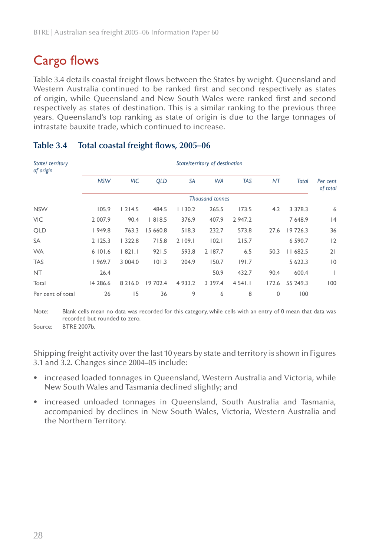# Cargo flows

Table 3.4 details coastal freight flows between the States by weight. Queensland and Western Australia continued to be ranked first and second respectively as states of origin, while Queensland and New South Wales were ranked first and second respectively as states of destination. This is a similar ranking to the previous three years. Queensland's top ranking as state of origin is due to the large tonnages of intrastate bauxite trade, which continued to increase.

| State/ territory<br>of origin |            |            |            |             | State/territory of destination |            |       |              |                      |
|-------------------------------|------------|------------|------------|-------------|--------------------------------|------------|-------|--------------|----------------------|
|                               | <b>NSW</b> | <b>VIC</b> | <b>QLD</b> | SA          | <b>WA</b>                      | <b>TAS</b> | NT    | <b>Total</b> | Per cent<br>of total |
|                               |            |            |            |             | <b>Thousand tonnes</b>         |            |       |              |                      |
| <b>NSW</b>                    | 105.9      | 1214.5     | 484.5      | 1130.2      | 265.5                          | 173.5      | 4.2   | 3 3 7 8 . 3  | 6                    |
| <b>VIC</b>                    | 2 007.9    | 90.4       | 818.5      | 376.9       | 407.9                          | 2 947.2    |       | 7 6 4 8.9    | 4                    |
| <b>QLD</b>                    | 1949.8     | 763.3      | 15 660.8   | 518.3       | 232.7                          | 573.8      | 27.6  | 19 726.3     | 36                   |
| SA                            | 2125.3     | 1322.8     | 715.8      | 2 109.1     | 102.1                          | 215.7      |       | 6 590.7      | 2                    |
| <b>WA</b>                     | 6101.6     | 82 .       | 921.5      | 593.8       | 2   87.7                       | 6.5        | 50.3  | II 682.5     | 21                   |
| <b>TAS</b>                    | 1969.7     | 3 004.0    | 101.3      | 204.9       | 150.7                          | 191.7      |       | 5 622.3      | $ 0\rangle$          |
| <b>NT</b>                     | 26.4       |            |            |             | 50.9                           | 432.7      | 90.4  | 600.4        |                      |
| Total                         | 14 286.6   | 8 2 1 6 .0 | 19 702.4   | 4 9 3 3 . 2 | 3 3 9 7.4                      | $454$ ].   | 172.6 | 55 249.3     | 100                  |
| Per cent of total             | 26         | 15         | 36         | 9           | 6                              | 8          | 0     | 100          |                      |

#### **Table 3.4 Total coastal freight flows, 2005–06**

Note: Blank cells mean no data was recorded for this category, while cells with an entry of 0 mean that data was recorded but rounded to zero.

Source: BTRE 2007b.

Shipping freight activity over the last 10 years by state and territory is shown in Figures 3.1 and 3.2. Changes since 2004–05 include:

- increased loaded tonnages in Queensland, Western Australia and Victoria, while New South Wales and Tasmania declined slightly; and
- increased unloaded tonnages in Queensland, South Australia and Tasmania, accompanied by declines in New South Wales, Victoria, Western Australia and the Northern Territory. •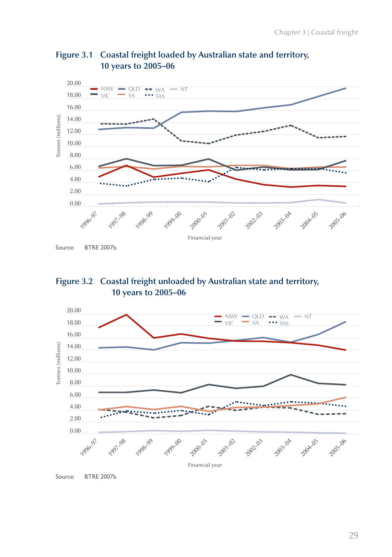

### **Figure 3.1 Coastal freight loaded by Australian state and territory, 10 years to 2005–06**





Source: BTRE 2007b.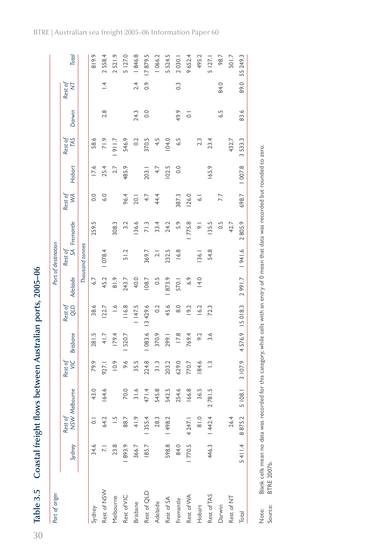30

| Port of origin  |        |               |                 |               |                 |                       |                  | Port of destination |                         |               |        |                |        |                |              |
|-----------------|--------|---------------|-----------------|---------------|-----------------|-----------------------|------------------|---------------------|-------------------------|---------------|--------|----------------|--------|----------------|--------------|
|                 | Sydney | Rest of       | NSW Melbourne   | Rest of<br>WC | <b>Brisbane</b> | <b>GTD</b><br>Rest of | <b>Adelaide</b>  |                     | Rest of<br>SA Fremantle | Š<br>Rest of  | Hobart | Rest of<br>TAS | Darwin | Rest of<br>Ż   | <b>Total</b> |
|                 |        |               |                 |               |                 |                       |                  | Thousand tonnes     |                         |               |        |                |        |                |              |
| Sydney          | 34.6   |               | 43.0            | 79.9          | 281.5           | 38.6                  | 6.7              |                     | 259.5                   | 0.0           | 17.6   | 58.6           |        |                | 819.9        |
| Rest of NSW     |        | 64.2          | 164.6           | 927.1         | 41.7            | 122.7                 | 45.2             | 1078.4              |                         | $\ddot{6}$ .0 | 25.4   | 71.9           | 2.8    | $\overline{4}$ | 2558.4       |
| Melbourne       | 23.8   |               |                 | 10.9          | 179.4           | $\frac{6}{1}$         | $\frac{81.9}{ }$ |                     | 308.3                   |               | 2.7    | 7.116          |        |                | 2521.9       |
| Rest of VIC     | 893.9  | 88.7          | 70.0            | 9.6           | 520.7           | 116.8                 | 243.7            | 51.2                | 3.2                     | 96.4          | 485.9  | 546.9          |        |                | 5 127.0      |
| <b>Brisbane</b> | 366.7  | 41.9          | 31.6            | 35.5          |                 | 1 147.5               | 40.0             |                     | 136.6                   | 20.1          |        | 0.2            | 24.3   | 2.4            | 1846.8       |
| Rest of QLD     | 185.7  | 1 355.4       | 471.4           | 224.8         | 1083.6          | 13 429.6              | 108.7            | 369.7               | 71.3                    | 4.7           | 203.1  | 370.5          | 0.0    | $\ddot{\circ}$ | 17879.5      |
| Adelaide        |        | 28.3          | 545.8           | 31.3          | 370.9           | 0.2                   | 0.5              | $\overline{c}$      | 33.4                    | 44.4          | 4.7    | 4.5            |        |                | 1066.2       |
| Rest of SA      | 598.8  | 1498.2        | 542.5           | 203.2         | 299.1           | 45.6                  | 873.9            | 232.5               | 24.2                    |               | 102.5  | <b>104.0</b>   |        |                | 5 5 2 4.5    |
| Fremantle       | 84.0   |               | 254.6           | 629.0         | 17.8            | $\frac{0}{8}$         | 570.1            | 16.8                | 5.9                     | 387.3         | 0.0    | 6.5            | 49.9   | $\frac{3}{2}$  | 2030.1       |
| Rest of WA      | 1770.5 | 4 247.1       | 166.8           | 770.7         | 769.4           | 19.2                  | 6.9              |                     | 775.8                   | 126.0         |        |                | 5      |                | 9652.4       |
| Hobart          |        | $\frac{0}{8}$ | 36.5            | 184.6         | 9.2             | 16.2                  | 14.0             | 36.                 | 능                       | ್ತ            |        | 2.3            |        |                | 495.2        |
| Rest of TAS     | 446.3  | 1442.4        | 781.5<br>$\sim$ | $\frac{1}{2}$ | 3.6             | 72.3                  |                  | 54.8                | 135.5                   |               | 165.9  | 23.4           |        |                | 5 127.1      |
| Darwin          |        |               |                 |               |                 |                       |                  |                     | 0.5                     | 7.7           |        |                | 6.5    | 84.0           | 98.7         |
| Rest of NT      |        | 26.4          |                 |               |                 |                       |                  |                     | 42.7                    |               |        | 432.7          |        |                | 501.7        |
| Total           | 5411.4 | 8875.2        | 108.1<br>L      | 3 107.9       | 4576.9          | 15018.3               | 2991.7           | 941.6               | 2805.9                  | 698.7         | 007.8  | 3533.3         | 83.6   | 89.0           | 55 249.3     |

Note: Blank cells mean no data was recorded for this category, while cells with an entry of 0 mean that data was recorded but rounded to zero.

Blank cells mean no data was recorded for this category, while cells with an entry of 0 mean that data was recorded but rounded to zero.

Source: BTRE 2007b.

Source: Note:

**BTRE 2007b.**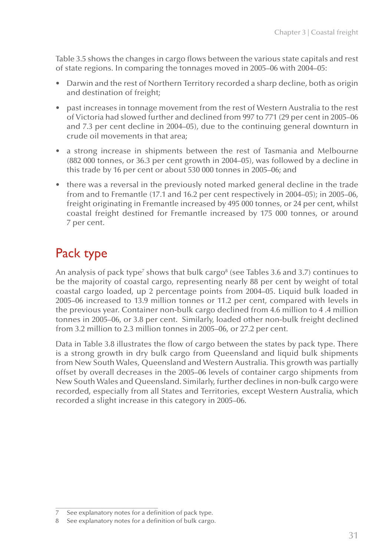Table 3.5 shows the changes in cargo flows between the various state capitals and rest of state regions. In comparing the tonnages moved in 2005–06 with 2004–05:

- Darwin and the rest of Northern Territory recorded a sharp decline, both as origin and destination of freight;
- past increases in tonnage movement from the rest of Western Australia to the rest of Victoria had slowed further and declined from 997 to 771 (29 per cent in 2005–06 and 7.3 per cent decline in 2004–05), due to the continuing general downturn in crude oil movements in that area;
- a strong increase in shipments between the rest of Tasmania and Melbourne (882 000 tonnes, or 36.3 per cent growth in 2004–05), was followed by a decline in this trade by 16 per cent or about 530 000 tonnes in 2005–06; and
- there was a reversal in the previously noted marked general decline in the trade from and to Fremantle (17.1 and 16.2 per cent respectively in 2004–05); in 2005–06, freight originating in Fremantle increased by 495 000 tonnes, or 24 per cent, whilst coastal freight destined for Fremantle increased by 175 000 tonnes, or around 7 per cent.

# Pack type

An analysis of pack type<sup>7</sup> shows that bulk cargo $^8$  (see Tables 3.6 and 3.7) continues to be the majority of coastal cargo, representing nearly 88 per cent by weight of total coastal cargo loaded, up 2 percentage points from 2004–05. Liquid bulk loaded in 2005–06 increased to 13.9 million tonnes or 11.2 per cent, compared with levels in the previous year. Container non-bulk cargo declined from 4.6 million to 4 .4 million tonnes in 2005–06, or 3.8 per cent. Similarly, loaded other non-bulk freight declined from 3.2 million to 2.3 million tonnes in 2005–06, or 27.2 per cent.

Data in Table 3.8 illustrates the flow of cargo between the states by pack type. There is a strong growth in dry bulk cargo from Queensland and liquid bulk shipments from New South Wales, Queensland and Western Australia. This growth was partially offset by overall decreases in the 2005–06 levels of container cargo shipments from New South Wales and Queensland. Similarly, further declines in non-bulk cargo were recorded, especially from all States and Territories, except Western Australia, which recorded a slight increase in this category in 2005–06.

<sup>7</sup> See explanatory notes for a definition of pack type.

<sup>8</sup> See explanatory notes for a definition of bulk cargo.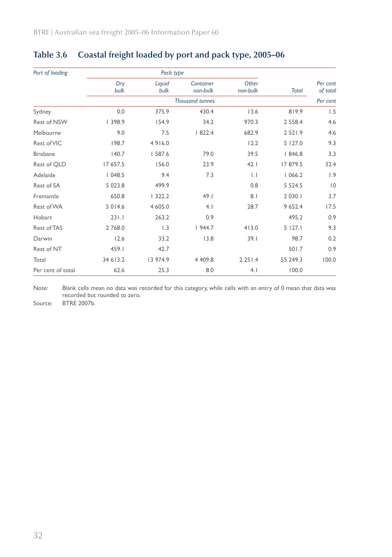| Port of loading    |             | Pack type      |                        |                   |              |                      |
|--------------------|-------------|----------------|------------------------|-------------------|--------------|----------------------|
|                    | Dry<br>bulk | Liquid<br>bulk | Container<br>non-bulk  | Other<br>non-bulk | <b>Total</b> | Per cent<br>of total |
|                    |             |                | <b>Thousand tonnes</b> |                   |              | Per cent             |
| Sydney             | 0.0         | 375.9          | 430.4                  | 13.6              | 819.9        | 1.5                  |
| <b>Rest of NSW</b> | 398.9       | 154.9          | 34.2                   | 970.3             | 2 5 5 8.4    | 4.6                  |
| Melbourne          | 9.0         | 7.5            | 1822.4                 | 682.9             | 2 5 2 1 .9   | 4.6                  |
| Rest of VIC        | 198.7       | 4916.0         |                        | 12.2              | 5 127.0      | 9.3                  |
| <b>Brisbane</b>    | 140.7       | 587.6          | 79.0                   | 39.5              | 1846.8       | 3.3                  |
| Rest of QLD        | 17 657.5    | 156.0          | 23.9                   | 42.1              | 17879.5      | 32.4                 |
| Adelaide           | 1048.5      | 9.4            | 7.3                    | $\mathsf{L}$      | 1066.2       | 1.9                  |
| Rest of SA         | 5 0 2 3 .8  | 499.9          |                        | 0.8               | 5 5 2 4 . 5  | $ 0\rangle$          |
| Fremantle          | 650.8       | 1322.2         | 49.1                   | 8.1               | 2 0 3 0 . 1  | 3.7                  |
| Rest of WA         | 5 0 1 4.6   | 4 605.0        | 4.1                    | 28.7              | 9 652.4      | 17.5                 |
| Hobart             | 231.1       | 263.2          | 0.9                    |                   | 495.2        | 0.9                  |
| Rest of TAS        | 2 768.0     | 1.3            | 1944.7                 | 413.0             | 5127.1       | 9.3                  |
| Darwin             | 12.6        | 33.2           | 13.8                   | 39.1              | 98.7         | 0.2                  |
| Rest of NT         | 459.I       | 42.7           |                        |                   | 501.7        | 0.9                  |
| Total              | 34 613.2    | 13 974.9       | 4 4 0 9.8              | 2 2 5 1 .4        | 55 249.3     | 100.0                |
| Per cent of total  | 62.6        | 25.3           | 8.0                    | 4.1               | 100.0        |                      |

## **Table 3.6 Coastal freight loaded by port and pack type, 2005–06**

Note: Blank cells mean no data was recorded for this category, while cells with an entry of 0 mean that data was recorded but rounded to zero.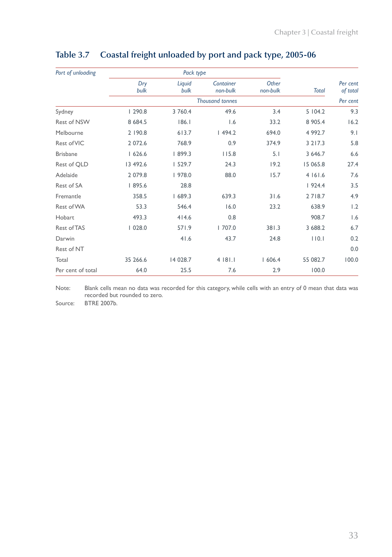| Port of unloading  |             | Pack type      |                        |                   |              |                      |
|--------------------|-------------|----------------|------------------------|-------------------|--------------|----------------------|
|                    | Dry<br>bulk | Liquid<br>bulk | Container<br>non-bulk  | Other<br>non-bulk | <b>Total</b> | Per cent<br>of total |
|                    |             |                | <b>Thousand tonnes</b> |                   |              | Per cent             |
| Sydney             | 1290.8      | 3 760.4        | 49.6                   | 3.4               | 5104.2       | 9.3                  |
| <b>Rest of NSW</b> | 8 6 8 4.5   | 186.1          | 1.6                    | 33.2              | 8 905.4      | 16.2                 |
| Melbourne          | 2 190.8     | 613.7          | 1494.2                 | 694.0             | 4 992.7      | 9.1                  |
| Rest of VIC        | 2 072.6     | 768.9          | 0.9                    | 374.9             | 3 2 1 7 . 3  | 5.8                  |
| <b>Brisbane</b>    | 1626.6      | 1899.3         | 115.8                  | 5.1               | 3 646.7      | 6.6                  |
| Rest of QLD        | 13 492.6    | 1529.7         | 24.3                   | 19.2              | 15 065.8     | 27.4                 |
| Adelaide           | 2 079.8     | 978.0          | 88.0                   | 15.7              | 4 161.6      | 7.6                  |
| Rest of SA         | 895.6       | 28.8           |                        |                   | 1924.4       | 3.5                  |
| Fremantle          | 358.5       | 1689.3         | 639.3                  | 31.6              | 2718.7       | 4.9                  |
| Rest of WA         | 53.3        | 546.4          | 16.0                   | 23.2              | 638.9        | 1.2                  |
| Hobart             | 493.3       | 414.6          | 0.8                    |                   | 908.7        | 1.6                  |
| Rest of TAS        | 1028.0      | 571.9          | 1707.0                 | 381.3             | 3 688.2      | 6.7                  |
| Darwin             |             | 41.6           | 43.7                   | 24.8              | 110.1        | 0.2                  |
| Rest of NT         |             |                |                        |                   |              | 0.0                  |
| Total              | 35 266.6    | 14 028.7       | 4181.1                 | 1606.4            | 55 082.7     | 100.0                |
| Per cent of total  | 64.0        | 25.5           | 7.6                    | 2.9               | 100.0        |                      |

## **Table 3.7 Coastal freight unloaded by port and pack type, 2005-06**

Note: Blank cells mean no data was recorded for this category, while cells with an entry of 0 mean that data was recorded but rounded to zero.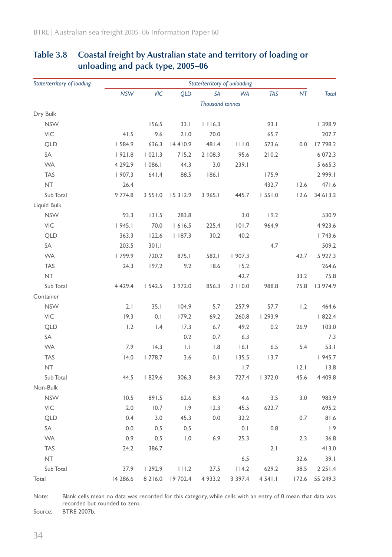| State/territory of loading |             |            |             | State/territory of unloading |           |            |       |              |
|----------------------------|-------------|------------|-------------|------------------------------|-----------|------------|-------|--------------|
|                            | <b>NSW</b>  | VIC        | <b>QLD</b>  | <b>SA</b>                    | <b>WA</b> | <b>TAS</b> | NT    | <b>Total</b> |
|                            |             |            |             | <b>Thousand tonnes</b>       |           |            |       |              |
| Dry Bulk                   |             |            |             |                              |           |            |       |              |
| <b>NSW</b>                 |             | 156.5      | 33.1        | 1116.3                       |           | 93.1       |       | 398.9        |
| VIC                        | 41.5        | 9.6        | 21.0        | 70.0                         |           | 65.7       |       | 207.7        |
| QLD                        | 584.9       | 636.3      | 14410.9     | 481.4                        | 111.0     | 573.6      | 0.0   | 17 798.2     |
| SA                         | 1921.8      | 1021.3     | 715.2       | 2 108.3                      | 95.6      | 210.2      |       | 6 072.3      |
| <b>WA</b>                  | 4 292.9     | 1086.1     | 44.3        | 3.0                          | 239.1     |            |       | 5 665.3      |
| <b>TAS</b>                 | 1907.3      | 641.4      | 88.5        | 186.1                        |           | 175.9      |       | 2 999.1      |
| <b>NT</b>                  | 26.4        |            |             |                              |           | 432.7      | 12.6  | 471.6        |
| Sub Total                  | 9 774.8     | 3 55 1.0   | 15 3 1 2.9  | 3 965.1                      | 445.7     | 1551.0     | 12.6  | 34 613.2     |
| Liquid Bulk                |             |            |             |                              |           |            |       |              |
| <b>NSW</b>                 | 93.3        | 131.5      | 283.8       |                              | 3.0       | 19.2       |       | 530.9        |
| VIC                        | 1945.1      | 70.0       | 1616.5      | 225.4                        | 101.7     | 964.9      |       | 4 923.6      |
| QLD                        | 363.3       | 122.6      | 1187.3      | 30.2                         | 40.2      |            |       | 1743.6       |
| SA                         | 203.5       | 301.1      |             |                              |           | 4.7        |       | 509.2        |
| <b>WA</b>                  | 799.9       | 720.2      | 875.1       | 582.1                        | 1907.3    |            | 42.7  | 5 927.3      |
| <b>TAS</b>                 | 24.3        | 197.2      | 9.2         | 18.6                         | 15.2      |            |       | 264.6        |
| <b>NT</b>                  |             |            |             |                              | 42.7      |            | 33.2  | 75.8         |
| Sub Total                  | 4 4 2 9 . 4 | 1542.5     | 3 972.0     | 856.3                        | 2110.0    | 988.8      | 75.8  | 13 974.9     |
| Container                  |             |            |             |                              |           |            |       |              |
| <b>NSW</b>                 | 2.1         | 35.1       | 104.9       | 5.7                          | 257.9     | 57.7       | 1.2   | 464.6        |
| <b>VIC</b>                 | 19.3        | 0.1        | 179.2       | 69.2                         | 260.8     | 293.9      |       | 1822.4       |
| QLD                        | 1.2         | 1.4        | 17.3        | 6.7                          | 49.2      | 0.2        | 26.9  | 103.0        |
| SA                         |             |            | 0.2         | 0.7                          | 6.3       |            |       | 7.3          |
| <b>WA</b>                  | 7.9         | 14.3       | $  \cdot  $ | 1.8                          | 16.1      | 6.5        | 5.4   | 53.1         |
| <b>TAS</b>                 | 14.0        | 1778.7     | 3.6         | 0.1                          | 135.5     | 13.7       |       | 1945.7       |
| NT                         |             |            |             |                              | 1.7       |            | 2.1   | 13.8         |
| Sub Total                  | 44.5        | 1829.6     | 306.3       | 84.3                         | 727.4     | 1372.0     | 45.6  | 4 409.8      |
| Non-Bulk                   |             |            |             |                              |           |            |       |              |
| <b>NSW</b>                 | 10.5        | 891.5      | 62.6        | 8.3                          | 4.6       | 3.5        | 3.0   | 983.9        |
| VIC                        | 2.0         | 10.7       | 1.9         | 12.3                         | 45.5      | 622.7      |       | 695.2        |
| <b>QLD</b>                 | 0.4         | 3.0        | 45.3        | 0.0                          | 32.2      |            | 0.7   | 81.6         |
| SA                         | 0.0         | 0.5        | 0.5         |                              | 0.1       | 0.8        |       | 1.9          |
| <b>WA</b>                  | 0.9         | 0.5        | 1.0         | 6.9                          | 25.3      |            | 2.3   | 36.8         |
| <b>TAS</b>                 | 24.2        | 386.7      |             |                              |           | 2.1        |       | 413.0        |
| <b>NT</b>                  |             |            |             |                              | 6.5       |            | 32.6  | 39.1         |
| Sub Total                  | 37.9        | 1292.9     | 111.2       | 27.5                         | 114.2     | 629.2      | 38.5  | 2251.4       |
| Total                      | 14 286.6    | 8 2 1 6 .0 | 19 702.4    | 4 9 3 3 . 2                  | 3 3 9 7.4 | 4 541.1    | 172.6 | 55 249.3     |

### **Table 3.8 Coastal freight by Australian state and territory of loading or unloading and pack type, 2005–06**

Note: Blank cells mean no data was recorded for this category, while cells with an entry of 0 mean that data was recorded but rounded to zero.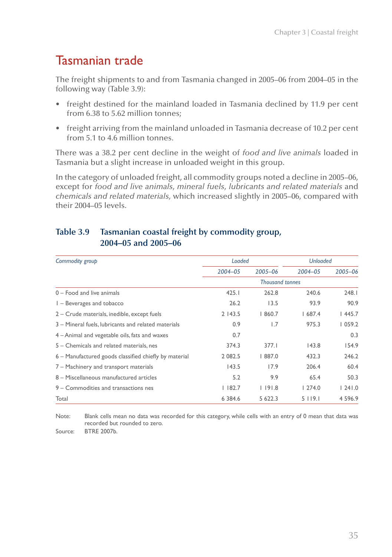## Tasmanian trade

The freight shipments to and from Tasmania changed in 2005–06 from 2004–05 in the following way (Table 3.9):

- freight destined for the mainland loaded in Tasmania declined by 11.9 per cent from 6.38 to 5.62 million tonnes; •
- freight arriving from the mainland unloaded in Tasmania decrease of 10.2 per cent from 5.1 to 4.6 million tonnes. •

There was a 38.2 per cent decline in the weight of *food and live animals* loaded in Tasmania but a slight increase in unloaded weight in this group.

In the category of unloaded freight, all commodity groups noted a decline in 2005–06, except for *food and live animals*, *mineral fuels*, *lubricants and related materials* and *chemicals and related materials*, which increased slightly in 2005–06, compared with their 2004–05 levels.

### *Commodity group Loaded Unloaded 2004–05 2005–06 2004–05 2005–06 Thousand tonnes* 0 – Food and live animals 425.1 262.8 240.6 248.1 1 – Beverages and tobacco 26.2 13.5 93.9 90.9 2 – Crude materials, inedible, except fuels 2 143.5 1 860.7 1 687.4 1 445.7 3 – Mineral fuels, lubricants and related materials 10.9 1.7 975.3 1059.2 4 – Animal and vegetable oils, fats and waxes 0.7 0.3 5 – Chemicals and related materials, nes 374.3 377.1 143.8 154.9 6 – Manufactured goods classified chiefly by material 2 082.5 1 887.0 432.3 246.2 7 – Machinery and transport materials 143.5 17.9 206.4 60.4 8 – Miscellaneous manufactured articles 5.2 5.2 9.9 65.4 50.3 9 – Commodities and transactions nes 1 182.7 1 191.8 1 274.0 1 241.0 Total 6 384.6 5 622.3 5 119.1 4 596.9

### **Table 3.9 Tasmanian coastal freight by commodity group, 2004–05 and 2005–06**

Note: Blank cells mean no data was recorded for this category, while cells with an entry of 0 mean that data was recorded but rounded to zero.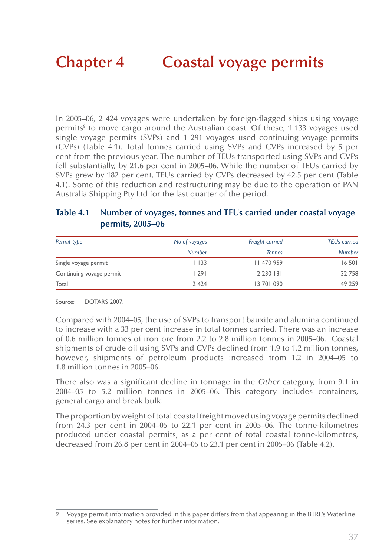In 2005–06, 2 424 voyages were undertaken by foreign-flagged ships using voyage permits<sup>9</sup> to move cargo around the Australian coast. Of these, 1 133 voyages used single voyage permits (SVPs) and 1 291 voyages used continuing voyage permits (CVPs) (Table 4.1). Total tonnes carried using SVPs and CVPs increased by 5 per cent from the previous year. The number of TEUs transported using SVPs and CVPs fell substantially, by 21.6 per cent in 2005–06. While the number of TEUs carried by SVPs grew by 182 per cent, TEUs carried by CVPs decreased by 42.5 per cent (Table 4.1). Some of this reduction and restructuring may be due to the operation of PAN Australia Shipping Pty Ltd for the last quarter of the period.

#### **Table 4.1 Number of voyages, tonnes and TEUs carried under coastal voyage permits, 2005–06**

| Permit type              | No of voyages | Freight carried | <b>TEUs carried</b> |
|--------------------------|---------------|-----------------|---------------------|
|                          | <b>Number</b> | <b>Tonnes</b>   | <b>Number</b>       |
| Single voyage permit     | l 133         | 11 470 959      | 16 501              |
| Continuing voyage permit | l 29 I        | 2 2 3 0 1 3 1   | 32 758              |
| Total                    | 2 4 2 4       | 13 70 1 0 9 0   | 49 259              |

Source: DOTARS 2007.

Compared with 2004–05, the use of SVPs to transport bauxite and alumina continued to increase with a 33 per cent increase in total tonnes carried. There was an increase of 0.6 million tonnes of iron ore from 2.2 to 2.8 million tonnes in 2005–06. Coastal shipments of crude oil using SVPs and CVPs declined from 1.9 to 1.2 million tonnes, however, shipments of petroleum products increased from 1.2 in 2004–05 to 1.8 million tonnes in 2005–06.

There also was a significant decline in tonnage in the *Other* category, from 9.1 in 2004–05 to 5.2 million tonnes in 2005–06. This category includes containers, general cargo and break bulk.

The proportion by weight of total coastal freight moved using voyage permits declined from 24.3 per cent in 2004–05 to 22.1 per cent in 2005–06. The tonne-kilometres produced under coastal permits, as a per cent of total coastal tonne-kilometres, decreased from 26.8 per cent in 2004–05 to 23.1 per cent in 2005–06 (Table 4.2).

<sup>9</sup> Voyage permit information provided in this paper differs from that appearing in the BTRE's Waterline series. See explanatory notes for further information.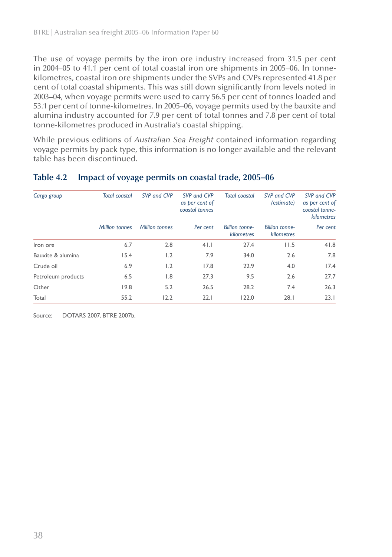The use of voyage permits by the iron ore industry increased from 31.5 per cent in 2004–05 to 41.1 per cent of total coastal iron ore shipments in 2005–06. In tonnekilometres, coastal iron ore shipments under the SVPs and CVPs represented 41.8 per cent of total coastal shipments. This was still down significantly from levels noted in 2003–04, when voyage permits were used to carry 56.5 per cent of tonnes loaded and 53.1 per cent of tonne-kilometres. In 2005–06, voyage permits used by the bauxite and alumina industry accounted for 7.9 per cent of total tonnes and 7.8 per cent of total tonne-kilometres produced in Australia's coastal shipping.

While previous editions of *Australian Sea Freight* contained information regarding voyage permits by pack type, this information is no longer available and the relevant table has been discontinued.

| Cargo group        | <b>Total coastal</b>  | SVP and CVP           | SVP and CVP<br>as per cent of<br>coastal tonnes | <b>Total coastal</b>                | SVP and CVP<br>(estimate)           | SVP and CVP<br>as per cent of<br>coastal tonne-<br>kilometres |
|--------------------|-----------------------|-----------------------|-------------------------------------------------|-------------------------------------|-------------------------------------|---------------------------------------------------------------|
|                    | <b>Million tonnes</b> | <b>Million tonnes</b> | Per cent                                        | <b>Billion tonne-</b><br>kilometres | <b>Billion tonne-</b><br>kilometres | Per cent                                                      |
| Iron ore           | 6.7                   | 2.8                   | 41.1                                            | 27.4                                | 11.5                                | 41.8                                                          |
| Bauxite & alumina  | 15.4                  | 1.2                   | 7.9                                             | 34.0                                | 2.6                                 | 7.8                                                           |
| Crude oil          | 6.9                   | 1.2                   | 17.8                                            | 22.9                                | 4.0                                 | 17.4                                                          |
| Petroleum products | 6.5                   | $\overline{8}$        | 27.3                                            | 9.5                                 | 2.6                                 | 27.7                                                          |
| Other              | 19.8                  | 5.2                   | 26.5                                            | 28.2                                | 7.4                                 | 26.3                                                          |
| Total              | 55.2                  | 12.2                  | 22.1                                            | 122.0                               | 28.1                                | 23.1                                                          |

#### **Table 4.2 Impact of voyage permits on coastal trade, 2005–06**

Source: DOTARS 2007, BTRE 2007b.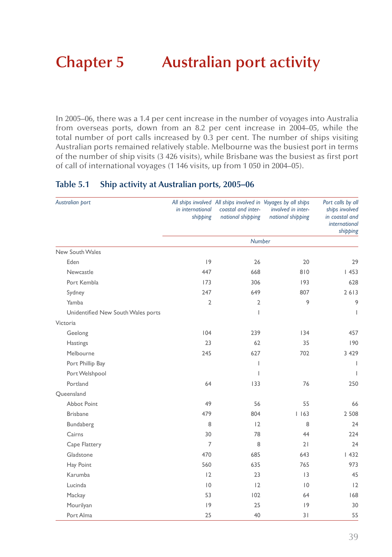# **Chapter 5 Australian port activity**

In 2005–06, there was a 1.4 per cent increase in the number of voyages into Australia from overseas ports, down from an 8.2 per cent increase in 2004–05, while the total number of port calls increased by 0.3 per cent. The number of ships visiting Australian ports remained relatively stable. Melbourne was the busiest port in terms of the number of ship visits (3 426 visits), while Brisbane was the busiest as first port of call of international voyages (1 146 visits, up from 1 050 in 2004–05).

| Australian port                    | in international<br>shipping | All ships involved All ships involved in Voyages by all ships<br>coastal and inter-<br>national shipping | involved in inter-<br>national shipping | Port calls by all<br>ships involved<br>in coastal and<br><i>international</i><br>shipping |
|------------------------------------|------------------------------|----------------------------------------------------------------------------------------------------------|-----------------------------------------|-------------------------------------------------------------------------------------------|
|                                    |                              | <b>Number</b>                                                                                            |                                         |                                                                                           |
| New South Wales                    |                              |                                                                                                          |                                         |                                                                                           |
| Eden                               | 9                            | 26                                                                                                       | 20                                      | 29                                                                                        |
| Newcastle                          | 447                          | 668                                                                                                      | 810                                     | 1453                                                                                      |
| Port Kembla                        | 173                          | 306                                                                                                      | 193                                     | 628                                                                                       |
| Sydney                             | 247                          | 649                                                                                                      | 807                                     | 2613                                                                                      |
| Yamba                              | $\overline{2}$               | $\overline{2}$                                                                                           | 9                                       | 9                                                                                         |
| Unidentified New South Wales ports |                              | T                                                                                                        |                                         | $\overline{1}$                                                                            |
| Victoria                           |                              |                                                                                                          |                                         |                                                                                           |
| Geelong                            | 104                          | 239                                                                                                      | 134                                     | 457                                                                                       |
| <b>Hastings</b>                    | 23                           | 62                                                                                                       | 35                                      | 190                                                                                       |
| Melbourne                          | 245                          | 627                                                                                                      | 702                                     | 3 4 2 9                                                                                   |
| Port Phillip Bay                   |                              | T                                                                                                        |                                         | $\overline{1}$                                                                            |
| Port Welshpool                     |                              | T                                                                                                        |                                         | $\overline{1}$                                                                            |
| Portland                           | 64                           | 133                                                                                                      | 76                                      | 250                                                                                       |
| Queensland                         |                              |                                                                                                          |                                         |                                                                                           |
| <b>Abbot Point</b>                 | 49                           | 56                                                                                                       | 55                                      | 66                                                                                        |
| <b>Brisbane</b>                    | 479                          | 804                                                                                                      | 1163                                    | 2 5 0 8                                                                                   |
| Bundaberg                          | 8                            | 12                                                                                                       | 8                                       | 24                                                                                        |
| Cairns                             | 30                           | 78                                                                                                       | 44                                      | 224                                                                                       |
| Cape Flattery                      | 7                            | 8                                                                                                        | 21                                      | 24                                                                                        |
| Gladstone                          | 470                          | 685                                                                                                      | 643                                     | 1432                                                                                      |
| Hay Point                          | 560                          | 635                                                                                                      | 765                                     | 973                                                                                       |
| Karumba                            | 12                           | 23                                                                                                       | 13                                      | 45                                                                                        |
| Lucinda                            | $ 0\rangle$                  | 12                                                                                                       | $\overline{0}$                          | 12                                                                                        |
| Mackay                             | 53                           | 102                                                                                                      | 64                                      | 168                                                                                       |
| Mourilyan                          | 9                            | 25                                                                                                       | 9                                       | 30                                                                                        |
| Port Alma                          | 25                           | 40                                                                                                       | 31                                      | 55                                                                                        |

#### **Table 5.1 Ship activity at Australian ports, 2005–06**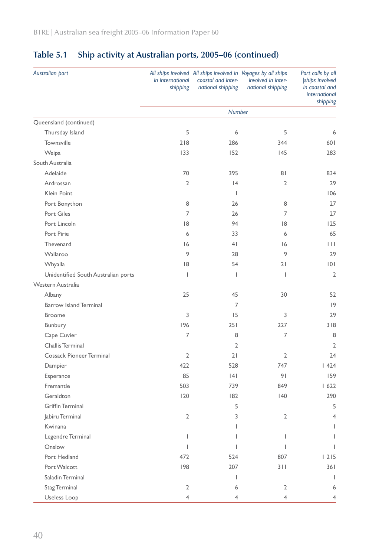| Australian port                     | in international<br>shipping | All ships involved All ships involved in Voyages by all ships<br>coastal and inter-<br>national shipping | involved in inter-<br>national shipping | Port calls by all<br>ships involved<br>in coastal and<br>international<br>shipping |
|-------------------------------------|------------------------------|----------------------------------------------------------------------------------------------------------|-----------------------------------------|------------------------------------------------------------------------------------|
|                                     |                              | <b>Number</b>                                                                                            |                                         |                                                                                    |
| Queensland (continued)              |                              |                                                                                                          |                                         |                                                                                    |
| Thursday Island                     | 5                            | 6                                                                                                        | 5                                       | 6                                                                                  |
| Townsville                          | 218                          | 286                                                                                                      | 344                                     | 601                                                                                |
| Weipa                               | 133                          | 152                                                                                                      | 145                                     | 283                                                                                |
| South Australia                     |                              |                                                                                                          |                                         |                                                                                    |
| Adelaide                            | 70                           | 395                                                                                                      | 81                                      | 834                                                                                |
| Ardrossan                           | $\overline{2}$               | 4                                                                                                        | 2                                       | 29                                                                                 |
| Klein Point                         |                              | 1                                                                                                        |                                         | 106                                                                                |
| Port Bonython                       | 8                            | 26                                                                                                       | 8                                       | 27                                                                                 |
| Port Giles                          | 7                            | 26                                                                                                       | 7                                       | 27                                                                                 |
| Port Lincoln                        | 8                            | 94                                                                                                       | 8                                       | 125                                                                                |
| Port Pirie                          | 6                            | 33                                                                                                       | 6                                       | 65                                                                                 |
| Thevenard                           | 16                           | 4 <sup>1</sup>                                                                                           | 16                                      | $\vert \ \vert \ \vert$                                                            |
| Wallaroo                            | 9                            | 28                                                                                                       | 9                                       | 29                                                                                 |
| Whyalla                             | 18                           | 54                                                                                                       | 21                                      | 101                                                                                |
| Unidentified South Australian ports | T                            | $\mathbf{I}$                                                                                             | $\mathbf{I}$                            | $\overline{2}$                                                                     |
| Western Australia                   |                              |                                                                                                          |                                         |                                                                                    |
| Albany                              | 25                           | 45                                                                                                       | 30                                      | 52                                                                                 |
| <b>Barrow Island Terminal</b>       |                              | 7                                                                                                        |                                         | 9                                                                                  |
| <b>Broome</b>                       | 3                            | 15                                                                                                       | 3                                       | 29                                                                                 |
| Bunbury                             | 196                          | 251                                                                                                      | 227                                     | 318                                                                                |
| Cape Cuvier                         | 7                            | 8                                                                                                        | 7                                       | 8                                                                                  |
| Challis Terminal                    |                              | 2                                                                                                        |                                         | $\overline{2}$                                                                     |
| <b>Cossack Pioneer Terminal</b>     | $\overline{2}$               | 21                                                                                                       | $\overline{2}$                          | 24                                                                                 |
| Dampier                             | 422                          | 528                                                                                                      | 747                                     | 1424                                                                               |
| Esperance                           | 85                           | 4                                                                                                        | 91                                      | 159                                                                                |
| Fremantle                           | 503                          | 739                                                                                                      | 849                                     | 1622                                                                               |
| Geraldton                           | 120                          | 182                                                                                                      | 140                                     | 290                                                                                |
| <b>Griffin Terminal</b>             |                              | 5                                                                                                        |                                         | 5                                                                                  |
| Jabiru Terminal                     | 2                            | 3                                                                                                        | 2                                       | $\overline{4}$                                                                     |
| Kwinana                             |                              | T                                                                                                        |                                         |                                                                                    |
| Legendre Terminal                   | T                            |                                                                                                          | $\mathsf{I}$                            |                                                                                    |
| Onslow                              | L                            |                                                                                                          |                                         | L                                                                                  |
| Port Hedland                        | 472                          | 524                                                                                                      | 807                                     | 1215                                                                               |
| Port Walcott                        | 198                          | 207                                                                                                      | 311                                     | 36 I                                                                               |
| Saladin Terminal                    |                              | L                                                                                                        |                                         | $\mathbf{I}$                                                                       |
| Stag Terminal                       | $\overline{2}$               | 6                                                                                                        | $\overline{2}$                          | 6                                                                                  |
| Useless Loop                        | 4                            | 4                                                                                                        | 4                                       | 4                                                                                  |

## **Table 5.1 Ship activity at Australian ports, 2005–06 (continued)**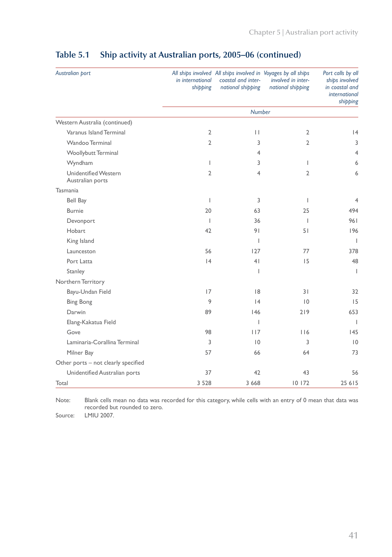| Australian port                                 | in international<br>shipping | All ships involved All ships involved in Voyages by all ships<br>coastal and inter-<br>national shipping | involved in inter-<br>national shipping | Port calls by all<br>ships involved<br>in coastal and<br><i>international</i><br>shipping |
|-------------------------------------------------|------------------------------|----------------------------------------------------------------------------------------------------------|-----------------------------------------|-------------------------------------------------------------------------------------------|
|                                                 |                              | <b>Number</b>                                                                                            |                                         |                                                                                           |
| Western Australia (continued)                   |                              |                                                                                                          |                                         |                                                                                           |
| Varanus Island Terminal                         | 2                            | П                                                                                                        | 2                                       | 4                                                                                         |
| Wandoo Terminal                                 | $\overline{2}$               | 3                                                                                                        | $\overline{2}$                          | 3                                                                                         |
| Woollybutt Terminal                             |                              | $\overline{4}$                                                                                           |                                         | $\overline{4}$                                                                            |
| Wyndham                                         | $\overline{1}$               | 3                                                                                                        | T                                       | 6                                                                                         |
| <b>Unidentified Western</b><br>Australian ports | $\overline{2}$               | 4                                                                                                        | 2                                       | 6                                                                                         |
| Tasmania                                        |                              |                                                                                                          |                                         |                                                                                           |
| <b>Bell Bay</b>                                 | $\overline{\phantom{a}}$     | 3                                                                                                        | T                                       | $\overline{4}$                                                                            |
| <b>Burnie</b>                                   | 20                           | 63                                                                                                       | 25                                      | 494                                                                                       |
| Devonport                                       | $\mathbf{I}$                 | 36                                                                                                       | T                                       | 961                                                                                       |
| Hobart                                          | 42                           | 9 <sub>1</sub>                                                                                           | 51                                      | 196                                                                                       |
| King Island                                     |                              | $\mathbf{I}$                                                                                             |                                         | $\overline{1}$                                                                            |
| Launceston                                      | 56                           | 127                                                                                                      | 77                                      | 378                                                                                       |
| Port Latta                                      | 4                            | 4 <sub>1</sub>                                                                                           | 15                                      | 48                                                                                        |
| Stanley                                         |                              | T                                                                                                        |                                         | $\overline{1}$                                                                            |
| Northern Territory                              |                              |                                                                                                          |                                         |                                                                                           |
| Bayu-Undan Field                                | 17                           | 8                                                                                                        | 31                                      | 32                                                                                        |
| <b>Bing Bong</b>                                | 9                            | 4                                                                                                        | 10                                      | 15                                                                                        |
| Darwin                                          | 89                           | 146                                                                                                      | 219                                     | 653                                                                                       |
| Elang-Kakatua Field                             |                              | I.                                                                                                       |                                         | $\mathsf I$                                                                               |
| Gove                                            | 98                           | 117                                                                                                      | 116                                     | 145                                                                                       |
| Laminaria-Corallina Terminal                    | 3                            | 10                                                                                                       | 3                                       | $\overline{10}$                                                                           |
| Milner Bay                                      | 57                           | 66                                                                                                       | 64                                      | 73                                                                                        |
| Other ports - not clearly specified             |                              |                                                                                                          |                                         |                                                                                           |
| Unidentified Australian ports                   | 37                           | 42                                                                                                       | 43                                      | 56                                                                                        |
| Total                                           | 3 5 2 8                      | 3 6 6 8                                                                                                  | 10172                                   | 25 615                                                                                    |

## **Table 5.1 Ship activity at Australian ports, 2005–06 (continued)**

Note: Blank cells mean no data was recorded for this category, while cells with an entry of 0 mean that data was recorded but rounded to zero.

Source: LMIU 2007.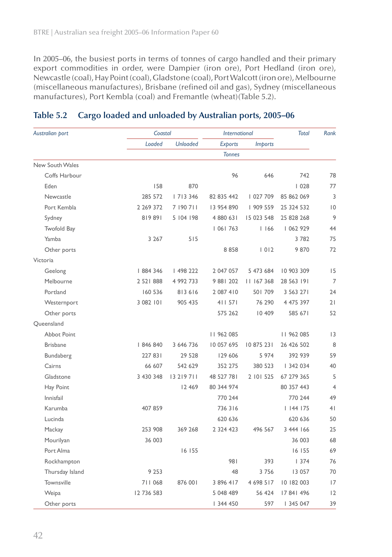In 2005–06, the busiest ports in terms of tonnes of cargo handled and their primary export commodities in order, were Dampier (iron ore), Port Hedland (iron ore), Newcastle (coal), Hay Point (coal), Gladstone (coal), Port Walcott (iron ore), Melbourne (miscellaneous manufactures), Brisbane (refined oil and gas), Sydney (miscellaneous manufactures), Port Kembla (coal) and Fremantle (wheat)(Table 5.2).

| Australian port    | Coastal    |                 | <b>International</b> |                | <b>Total</b>  | Rank           |
|--------------------|------------|-----------------|----------------------|----------------|---------------|----------------|
|                    | Loaded     | <b>Unloaded</b> | <b>Exports</b>       | <b>Imports</b> |               |                |
|                    |            |                 | <b>Tonnes</b>        |                |               |                |
| New South Wales    |            |                 |                      |                |               |                |
| Coffs Harbour      |            |                 | 96                   | 646            | 742           | 78             |
| Eden               | 158        | 870             |                      |                | 1028          | 77             |
| Newcastle          | 285 572    | 7 3 346         | 82 835 442           | 027 709        | 85 862 069    | 3              |
| Port Kembla        | 2 269 372  | 7 190 711       | 13 954 890           | 909 559        | 25 324 532    | 0              |
| Sydney             | 819891     | 5 104 198       | 4 880 631            | 15 023 548     | 25 828 268    | 9              |
| <b>Twofold Bay</b> |            |                 | 06  763              | 1166           | 062 929       | 44             |
| Yamba              | 3 2 6 7    | 515             |                      |                | 3782          | 75             |
| Other ports        |            |                 | 8858                 | 1012           | 9870          | 72             |
| Victoria           |            |                 |                      |                |               |                |
| Geelong            | 884 346    | 498 222         | 2 047 057            | 5 473 684      | 10 903 309    | 15             |
| Melbourne          | 2 521 888  | 4 992 733       | 9 881 202            | 11 167 368     | 28 563 191    | $\overline{7}$ |
| Portland           | 160 536    | 813 616         | 2 087 410            | 501709         | 3 5 6 3 2 7 1 | 24             |
| Westernport        | 3 082 101  | 905 435         | 411 571              | 76 290         | 4 475 397     | 21             |
| Other ports        |            |                 | 575 262              | 10 409         | 585 671       | 52             |
| Oueensland         |            |                 |                      |                |               |                |
| <b>Abbot Point</b> |            |                 | 11 962 085           |                | 11 962 085    | 3              |
| <b>Brisbane</b>    | 846 840    | 3 646 736       | 10 057 695           | 10 875 231     | 26 426 502    | 8              |
| Bundaberg          | 227 831    | 29 5 28         | 129 606              | 5 9 7 4        | 392 939       | 59             |
| Cairns             | 66 607     | 542 629         | 352 275              | 380 523        | 342 034       | 40             |
| Gladstone          | 3 430 348  | 13 219 711      | 48 527 781           | 2 101 525      | 67 279 365    | 5              |
| Hay Point          |            | 12 4 69         | 80 344 974           |                | 80 357 443    | $\overline{4}$ |
| Innisfail          |            |                 | 770 244              |                | 770 244       | 49             |
| Karumba            | 407 859    |                 | 736316               |                | 1144175       | 4 <sub>1</sub> |
| Lucinda            |            |                 | 620 636              |                | 620 636       | 50             |
| Mackay             | 253 908    | 369 268         | 2 3 2 4 4 2 3        | 496 567        | 3 444 166     | 25             |
| Mourilyan          | 36 003     |                 |                      |                | 36 003        | 68             |
| Port Alma          |            | 16 155          |                      |                | 16 155        | 69             |
| Rockhampton        |            |                 | 981                  | 393            | 1374          | 76             |
| Thursday Island    | 9 2 5 3    |                 | 48                   | 3756           | 13 057        | 70             |
| Townsville         | 711 068    | 876 001         | 3 896 417            | 4 698 517      | 10 182 003    | 17             |
| Weipa              | 12 736 583 |                 | 5 048 489            | 56 424         | 17 841 496    | 12             |
| Other ports        |            |                 | 344 450              | 597            | 345 047       | 39             |

#### **Table 5.2 Cargo loaded and unloaded by Australian ports, 2005–06**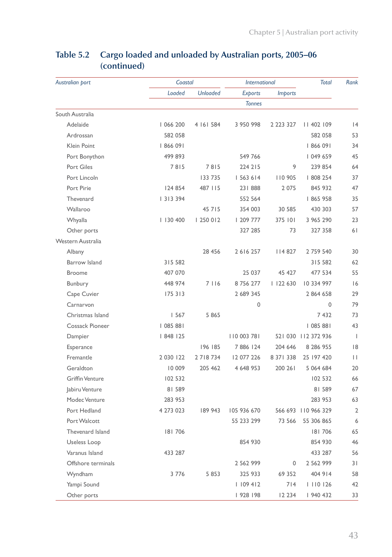| Australian port        | Coastal     |                 | <b>International</b> |                | <b>Total</b>        | Rank                     |
|------------------------|-------------|-----------------|----------------------|----------------|---------------------|--------------------------|
|                        | Loaded      | <b>Unloaded</b> | <b>Exports</b>       | <i>Imports</i> |                     |                          |
|                        |             |                 | <b>Tonnes</b>        |                |                     |                          |
| South Australia        |             |                 |                      |                |                     |                          |
| Adelaide               | 066 200     | 4 161 584       | 3 950 998            | 2 2 2 3 3 2 7  | 402   09            | 4                        |
| Ardrossan              | 582 058     |                 |                      |                | 582 058             | 53                       |
| Klein Point            | 866 091     |                 |                      |                | 866 091             | 34                       |
| Port Bonython          | 499 893     |                 | 549 766              |                | 049 659             | 45                       |
| Port Giles             | 7815        | 7815            | 224 215              | 9              | 239 854             | 64                       |
| Port Lincoln           |             | 133 735         | 563 614              | 110 905        | 808 254             | 37                       |
| Port Pirie             | 124 854     | 487 115         | 231888               | 2 0 7 5        | 845 932             | 47                       |
| Thevenard              | 3   3 3 9 4 |                 | 552 564              |                | 865 958             | 35                       |
| Wallaroo               |             | 45 7 15         | 354 003              | 30 585         | 430 303             | 57                       |
| Whyalla                | 130 400     | 250 012         | 209 777              | 375 101        | 3 965 290           | 23                       |
| Other ports            |             |                 | 327 285              | 73             | 327 358             | 61                       |
| Western Australia      |             |                 |                      |                |                     |                          |
| Albany                 |             | 28 45 6         | 2616257              | 4 827          | 2 759 540           | 30                       |
| <b>Barrow Island</b>   | 315 582     |                 |                      |                | 315 582             | 62                       |
| <b>Broome</b>          | 407 070     |                 | 25 037               | 45 427         | 477 534             | 55                       |
| Bunbury                | 448 974     | 7 1 1 6         | 8756277              | 1122630        | 10 334 997          | 6                        |
| Cape Cuvier            | 175 313     |                 | 2 689 345            |                | 2 864 658           | 29                       |
| Carnarvon              |             |                 | 0                    |                | 0                   | 79                       |
| Christmas Island       | 1567        | 5 8 6 5         |                      |                | 7432                | 73                       |
| <b>Cossack Pioneer</b> | 085 88      |                 |                      |                | 085 88              | 43                       |
| Dampier                | 848   25    |                 | 110 003 781          |                | 521 030 112 372 936 | $\overline{\phantom{a}}$ |
| Esperance              |             | 196 185         | 7886 124             | 204 646        | 8 286 955           | 8                        |
| Fremantle              | 2 0 30 1 22 | 2 7 18 7 34     | 12 077 226           | 8 37 1 3 3 8   | 25 197 420          | П                        |
| Geraldton              | 10 009      | 205 462         | 4 648 953            | 200 261        | 5 064 684           | 20                       |
| <b>Griffin Venture</b> | 102 532     |                 |                      |                | 102 532             | 66                       |
| Jabiru Venture         | 81 589      |                 |                      |                | 81 589              | 67                       |
| Modec Venture          | 283 953     |                 |                      |                | 283 953             | 63                       |
| Port Hedland           | 4 273 023   | 189 943         | 105 936 670          |                | 566 693 110 966 329 | $\overline{2}$           |
| Port Walcott           |             |                 | 55 233 299           | 73 566         | 55 306 865          | 6                        |
| Thevenard Island       | 181706      |                 |                      |                | 181706              | 65                       |
| Useless Loop           |             |                 | 854 930              |                | 854 930             | 46                       |
| Varanus Island         | 433 287     |                 |                      |                | 433 287             | 56                       |
| Offshore terminals     |             |                 | 2 5 6 2 9 9 9        | 0              | 2 5 6 2 9 9 9       | 31                       |
| Wyndham                | 3 7 7 6     | 5 8 5 3         | 325 933              | 69 352         | 404 914             | 58                       |
| Yampi Sound            |             |                 | 109 412              | 714            | 0   26              | 42                       |
| Other ports            |             |                 | 928   98             | 12 2 34        | 940 432             | 33                       |

## **Table 5.2 Cargo loaded and unloaded by Australian ports, 2005–06 (continued)**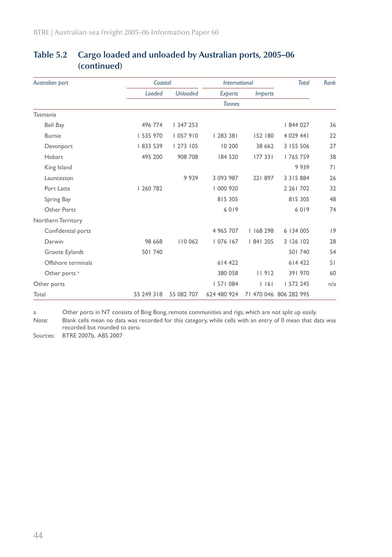| Australian port          | Coastal    |                 | <b>International</b> |                | <b>Total</b>           | <b>Rank</b> |
|--------------------------|------------|-----------------|----------------------|----------------|------------------------|-------------|
|                          | Loaded     | <b>Unloaded</b> | <b>Exports</b>       | <i>Imports</i> |                        |             |
|                          |            | <b>Tonnes</b>   |                      |                |                        |             |
| Tasmania                 |            |                 |                      |                |                        |             |
| Bell Bay                 | 496 774    | 347 253         |                      |                | 844 027                | 36          |
| Burnie                   | 535 970    | 057 910         | 283338               | 152 180        | 4 0 29 44 1            | 22          |
| Devonport                | 833 539    | 1273105         | 10 200               | 38 662         | 3 155 506              | 27          |
| Hobart                   | 495 200    | 908 708         | 184 520              | 177 331        | 765 759                | 38          |
| King Island              |            |                 |                      |                | 9939                   | 71          |
| Launceston               |            | 9939            | 3 093 987            | 221897         | 3 3 1 5 8 8 4          | 26          |
| Port Latta               | 260 782    |                 | 000 920              |                | 2 26 1 70 2            | 32          |
| Spring Bay               |            |                 | 815 305              |                | 815 305                | 48          |
| Other Ports              |            |                 | 6019                 |                | 6019                   | 74          |
| Northern Territory       |            |                 |                      |                |                        |             |
| Confidential ports       |            |                 | 4 9 6 5 7 0 7        | 168 298        | 6 134 005              | 9           |
| Darwin                   | 98 668     | 110 062         | 076   67             | 84  205        | 3 126 102              | 28          |
| Groote Eylandt           | 501 740    |                 |                      |                | 501 740                | 54          |
| Offshore terminals       |            |                 | 614 422              |                | 614 422                | 51          |
| Other ports <sup>a</sup> |            |                 | 380 058              | 11912          | 391 970                | 60          |
| Other ports              |            |                 | 57  084              | $ $ $ $ 6 $ $  | 572 245                | n/a         |
| Total                    | 55 249 318 | 55 082 707      | 624 480 924          |                | 71 470 046 806 282 995 |             |

#### **Table 5.2 Cargo loaded and unloaded by Australian ports, 2005–06 (continued)**

a Other ports in NT consists of Bing Bong, remote communities and rigs, which are not split up easily.

Note: Blank cells mean no data was recorded for this category, while cells with an entry of 0 mean that data was recorded but rounded to zero.

Sources: BTRE 2007b, ABS 2007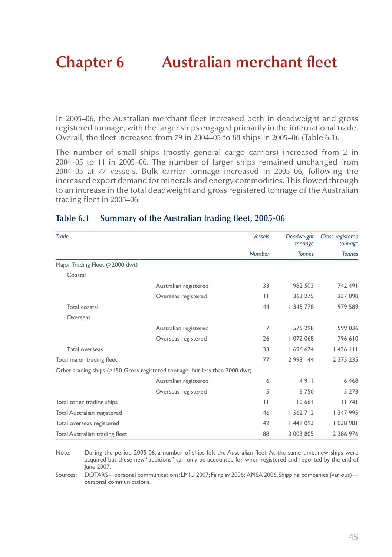# **Chapter 6 Australian merchant fleet**

In 2005–06, the Australian merchant fleet increased both in deadweight and gross registered tonnage, with the larger ships engaged primarily in the international trade. Overall, the fleet increased from 79 in 2004–05 to 88 ships in 2005–06 (Table 6.1).

The number of small ships (mostly general cargo carriers) increased from 2 in 2004–05 to 11 in 2005–06. The number of larger ships remained unchanged from 2004–05 at 77 vessels. Bulk carrier tonnage increased in 2005–06, following the increased export demand for minerals and energy commodities. This flowed through to an increase in the total deadweight and gross registered tonnage of the Australian trading fleet in 2005–06.

| Trade                           |                                                                            | <b>Vessels</b> | Deadweight<br>tonnage | <b>Gross registered</b><br>tonnage |
|---------------------------------|----------------------------------------------------------------------------|----------------|-----------------------|------------------------------------|
|                                 |                                                                            | <b>Number</b>  | <b>Tonnes</b>         | <b>Tonnes</b>                      |
| Major Trading Fleet (>2000 dwt) |                                                                            |                |                       |                                    |
| Coastal                         |                                                                            |                |                       |                                    |
|                                 | Australian registered                                                      | 33             | 982 503               | 742 491                            |
|                                 | Overseas registered                                                        | $\mathbf{H}$   | 363 275               | 237 098                            |
| Total coastal                   |                                                                            | 44             | 345 778               | 979 589                            |
| Overseas                        |                                                                            |                |                       |                                    |
|                                 | Australian registered                                                      | 7              | 575 298               | 599 036                            |
|                                 | Overseas registered                                                        | 26             | 072 068               | 796 610                            |
| Total overseas                  |                                                                            | 33             | 696 674               | $1436$ $111$                       |
| Total major trading fleet       |                                                                            | 77             | 2 993 144             | 2 375 235                          |
|                                 | Other trading ships (>150 Gross registered tonnage but less than 2000 dwt) |                |                       |                                    |
|                                 | Australian registered                                                      | 6              | 4911                  | 6 4 6 8                            |
|                                 | Overseas registered                                                        | 5              | 5750                  | 5 2 7 3                            |
| Total other trading ships       |                                                                            | $\mathbf{L}$   | 10661                 | 11741                              |
| Total Australian registered     |                                                                            | 46             | 562 7   2             | 347 995                            |
| Total overseas registered       |                                                                            | 42             | 1441093               | 038 981                            |
| Total Australian trading fleet  |                                                                            | 88             | 3 003 805             | 2 386 976                          |

#### **Table 6.1 Summary of the Australian trading fleet, 2005-06**

Note: During the period 2005-06, a number of ships left the Australian fleet. At the same time, new ships were acquired but these new "additions" can only be accounted for when registered and reported by the end of June 2007.

Sources: DOTARS—personal communications; LMIU 2007; Fairplay 2006; AMSA 2006, Shipping, companies (various) personal communications.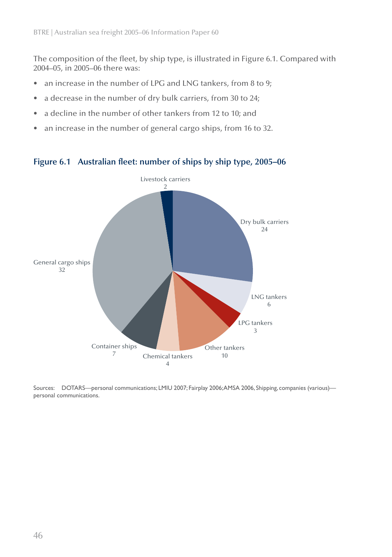The composition of the fleet, by ship type, is illustrated in Figure 6.1. Compared with 2004–05, in 2005–06 there was:

- an increase in the number of LPG and LNG tankers, from 8 to 9; •
- a decrease in the number of dry bulk carriers, from 30 to 24; •
- a decline in the number of other tankers from 12 to 10; and •
- an increase in the number of general cargo ships, from 16 to 32. •



## **Figure 6.1 Australian fleet: number of ships by ship type, 2005–06**

Sources: DOTARS—personal communications; LMIU 2007; Fairplay 2006; AMSA 2006, Shipping, companies (various) personal communications.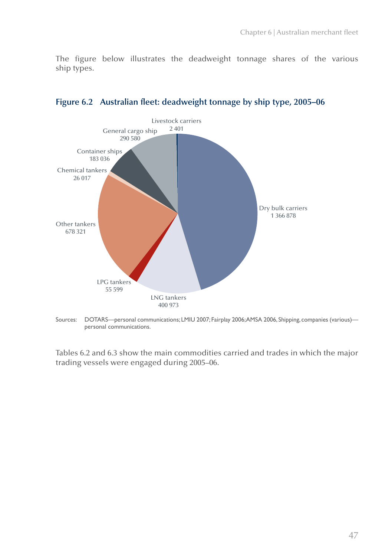The figure below illustrates the deadweight tonnage shares of the various ship types.



**Figure 6.2 Australian fleet: deadweight tonnage by ship type, 2005–06**

Sources: DOTARS—personal communications; LMIU 2007; Fairplay 2006; AMSA 2006, Shipping, companies (various) personal communications.

Tables 6.2 and 6.3 show the main commodities carried and trades in which the major trading vessels were engaged during 2005–06.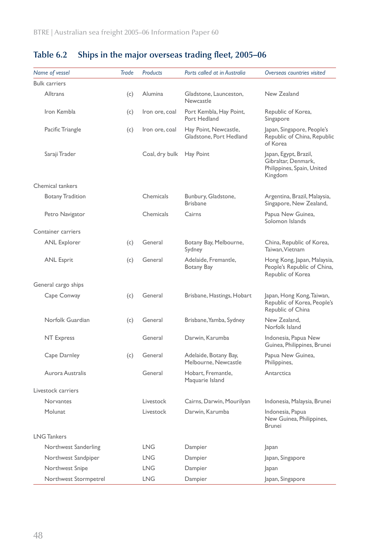| Name of vessel          | <b>Trade</b> | <b>Products</b> | Ports called at in Australia                     | Overseas countries visited                                                            |
|-------------------------|--------------|-----------------|--------------------------------------------------|---------------------------------------------------------------------------------------|
| <b>Bulk carriers</b>    |              |                 |                                                  |                                                                                       |
| <b>Alltrans</b>         | (c)          | <b>Alumina</b>  | Gladstone, Launceston,<br>Newcastle              | New Zealand                                                                           |
| Iron Kembla             | (c)          | Iron ore, coal  | Port Kembla, Hay Point,<br>Port Hedland          | Republic of Korea,<br>Singapore                                                       |
| Pacific Triangle        | (c)          | Iron ore, coal  | Hay Point, Newcastle,<br>Gladstone, Port Hedland | Japan, Singapore, People's<br>Republic of China, Republic<br>of Korea                 |
| Saraji Trader           |              | Coal, dry bulk  | Hay Point                                        | Japan, Egypt, Brazil,<br>Gibraltar, Denmark,<br>Philippines, Spain, United<br>Kingdom |
| Chemical tankers        |              |                 |                                                  |                                                                                       |
| <b>Botany Tradition</b> |              | Chemicals       | Bunbury, Gladstone,<br><b>Brisbane</b>           | Argentina, Brazil, Malaysia,<br>Singapore, New Zealand,                               |
| Petro Navigator         |              | Chemicals       | Cairns                                           | Papua New Guinea,<br>Solomon Islands                                                  |
| Container carriers      |              |                 |                                                  |                                                                                       |
| <b>ANL Explorer</b>     | (c)          | General         | Botany Bay, Melbourne,<br>Sydney                 | China, Republic of Korea,<br>Taiwan, Vietnam                                          |
| <b>ANL Esprit</b>       | (c)          | General         | Adelaide, Fremantle,<br>Botany Bay               | Hong Kong, Japan, Malaysia,<br>People's Republic of China,<br>Republic of Korea       |
| General cargo ships     |              |                 |                                                  |                                                                                       |
| Cape Conway             | (c)          | General         | Brisbane, Hastings, Hobart                       | Japan, Hong Kong, Taiwan,<br>Republic of Korea, People's<br>Republic of China         |
| Norfolk Guardian        | (c)          | General         | Brisbane, Yamba, Sydney                          | New Zealand.<br>Norfolk Island                                                        |
| NT Express              |              | General         | Darwin, Karumba                                  | Indonesia, Papua New<br>Guinea, Philippines, Brunei                                   |
| Cape Darnley            | (c)          | General         | Adelaide, Botany Bay,<br>Melbourne, Newcastle    | Papua New Guinea,<br>Philippines,                                                     |
| Aurora Australis        |              | General         | Hobart, Fremantle,<br>Maquarie Island            | Antarctica                                                                            |
| Livestock carriers      |              |                 |                                                  |                                                                                       |
| <b>Norvantes</b>        |              | Livestock       | Cairns, Darwin, Mourilyan                        | Indonesia, Malaysia, Brunei                                                           |
| Molunat                 |              | Livestock       | Darwin, Karumba                                  | Indonesia, Papua<br>New Guinea, Philippines,<br><b>Brunei</b>                         |
| <b>LNG Tankers</b>      |              |                 |                                                  |                                                                                       |
| Northwest Sanderling    |              | <b>LNG</b>      | Dampier                                          | Japan                                                                                 |
| Northwest Sandpiper     |              | LNG.            | Dampier                                          | Japan, Singapore                                                                      |
| Northwest Snipe         |              | <b>LNG</b>      | Dampier                                          | Japan                                                                                 |
| Northwest Stormpetrel   |              | <b>LNG</b>      | Dampier                                          | Japan, Singapore                                                                      |

## **Table 6.2 Ships in the major overseas trading fleet, 2005–06**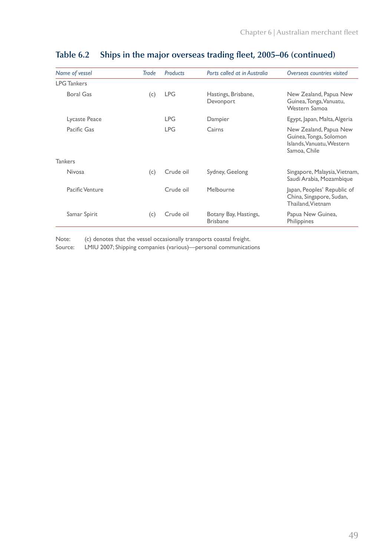| Name of vessel     | Trade | <b>Products</b> | Ports called at in Australia             | Overseas countries visited                                                                    |
|--------------------|-------|-----------------|------------------------------------------|-----------------------------------------------------------------------------------------------|
| <b>LPG Tankers</b> |       |                 |                                          |                                                                                               |
| <b>Boral Gas</b>   | (c)   | <b>LPG</b>      | Hastings, Brisbane,<br>Devonport         | New Zealand, Papua New<br>Guinea, Tonga, Vanuatu,<br>Western Samoa                            |
| Lycaste Peace      |       | <b>LPG</b>      | Dampier                                  | Egypt, Japan, Malta, Algeria                                                                  |
| Pacific Gas        |       | <b>LPG</b>      | Cairns                                   | New Zealand, Papua New<br>Guinea, Tonga, Solomon<br>Islands, Vanuatu, Western<br>Samoa, Chile |
| <b>Tankers</b>     |       |                 |                                          |                                                                                               |
| <b>Nivosa</b>      | (c)   | Crude oil       | Sydney, Geelong                          | Singapore, Malaysia, Vietnam,<br>Saudi Arabia, Mozambique                                     |
| Pacific Venture    |       | Crude oil       | Melbourne                                | Japan, Peoples' Republic of<br>China, Singapore, Sudan,<br>Thailand, Vietnam                  |
| Samar Spirit       | (c)   | Crude oil       | Botany Bay, Hastings,<br><b>Brisbane</b> | Papua New Guinea,<br>Philippines                                                              |

## **Table 6.2 Ships in the major overseas trading fleet, 2005–06 (continued)**

Note: (c) denotes that the vessel occasionally transports coastal freight.

Source: LMIU 2007; Shipping companies (various)—personal communications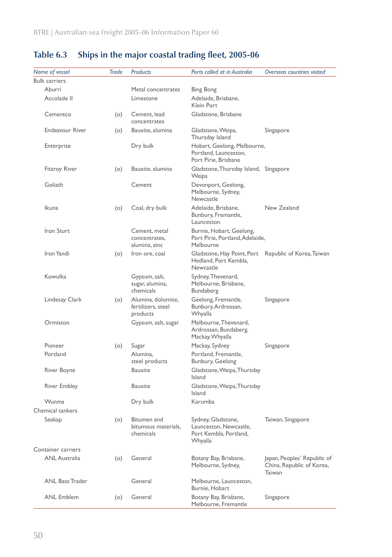| Name of vessel         | Trade | Products                                             | Ports called at in Australia                                                               | Overseas countries visited                                         |
|------------------------|-------|------------------------------------------------------|--------------------------------------------------------------------------------------------|--------------------------------------------------------------------|
| <b>Bulk carriers</b>   |       |                                                      |                                                                                            |                                                                    |
| Aburri                 |       | Metal concentrates                                   | <b>Bing Bong</b>                                                                           |                                                                    |
| Accolade II            |       | Limestone                                            | Adelaide, Brisbane,<br>Klein Port                                                          |                                                                    |
| Cementco               | (0)   | Cement, lead<br>concentrates                         | Gladstone, Brisbane                                                                        |                                                                    |
| <b>Endeavour River</b> | (0)   | Bauxite, alumina                                     | Gladstone, Weipa,<br>Thursday Island                                                       | Singapore                                                          |
| Enterprise             |       | Dry bulk                                             | Hobart, Geelong, Melbourne,<br>Portland, Launceston,<br>Port Pirie, Brisbane               |                                                                    |
| <b>Fitzroy River</b>   | (0)   | Bauxite, alumina                                     | Gladstone, Thursday Island, Singapore<br>Weipa                                             |                                                                    |
| Goliath                |       | Cement                                               | Devonport, Geelong,<br>Melbourne, Sydney,<br>Newcastle                                     |                                                                    |
| Ikuna                  | (o)   | Coal, dry bulk                                       | Adelaide, Brisbane.<br>Bunbury, Fremantle,<br>Launceston                                   | New Zealand                                                        |
| <b>Iron Sturt</b>      |       | Cement, metal<br>concentrates,<br>alumina, zinc      | Burnie, Hobart, Geelong,<br>Port Pirie, Portland, Adelaide,<br>Melbourne                   |                                                                    |
| Iron Yandi             | (0)   | Iron ore, coal                                       | Gladstone, Hay Point, Port Republic of Korea, Taiwan<br>Hedland, Port Kembla,<br>Newcastle |                                                                    |
| Kowulka                |       | Gypsum, salt,<br>sugar, alumina,<br>chemicals        | Sydney, Thevenard,<br>Melbourne, Brisbane,<br>Bundaberg                                    |                                                                    |
| Lindesay Clark         | (o)   | Alumina, dolomite,<br>fertilizers, steel<br>products | Geelong, Fremantle,<br>Bunbury, Ardrossan,<br>Whyalla                                      | Singapore                                                          |
| Ormiston               |       | Gypsum, salt, sugar                                  | Melbourne, Thevenard,<br>Ardrossan, Bundaberg,<br>Mackay, Whyalla                          |                                                                    |
| Pioneer                | (0)   | Sugar                                                | Mackay, Sydney                                                                             | Singapore                                                          |
| Portland               |       | Alumina,<br>steel products                           | Portland, Fremantle,<br>Bunbury, Geelong                                                   |                                                                    |
| River Boyne            |       | <b>Bauxite</b>                                       | Gladstone, Weipa, Thursday<br><b>Island</b>                                                |                                                                    |
| <b>River Embley</b>    |       | Bauxite                                              | Gladstone, Weipa, Thursday<br>Island                                                       |                                                                    |
| Wunma                  |       | Dry bulk                                             | Karumba                                                                                    |                                                                    |
| Chemical tankers       |       |                                                      |                                                                                            |                                                                    |
| Seakap                 | (0)   | Bitumen and<br>bitumous materials,<br>chemicals      | Sydney, Gladstone,<br>Launceston, Newcastle,<br>Port Kembla, Portland,<br>Whyalla          | Taiwan, Singapore                                                  |
| Container carriers     |       |                                                      |                                                                                            |                                                                    |
| <b>ANL Australia</b>   | (o)   | General                                              | Botany Bay, Brisbane,<br>Melbourne, Sydney,                                                | Japan, Peoples' Republic of<br>China, Republic of Korea,<br>Taiwan |
| <b>ANL Bass Trader</b> |       | General                                              | Melbourne, Launceston,<br>Burnie, Hobart                                                   |                                                                    |
| <b>ANL Emblem</b>      | (0)   | General                                              | Botany Bay, Brisbane,<br>Melbourne, Fremantle                                              | Singapore                                                          |

## **Table 6.3 Ships in the major coastal trading fleet, 2005-06**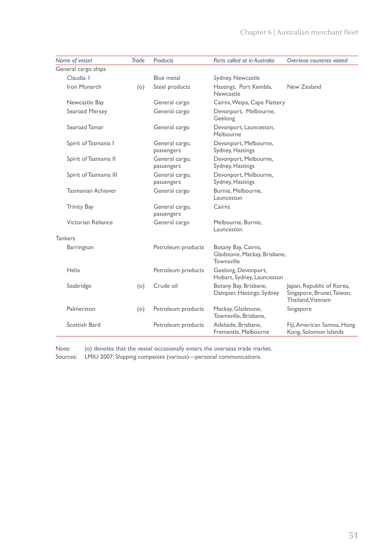| Name of vessel            | Trade | <b>Products</b>              | Ports called at in Australia                                      | Overseas countries visited                                                   |
|---------------------------|-------|------------------------------|-------------------------------------------------------------------|------------------------------------------------------------------------------|
| General cargo ships       |       |                              |                                                                   |                                                                              |
| Claudia I                 |       | Blue metal                   | Sydney, Newcastle                                                 |                                                                              |
| Iron Monarch              | (o)   | Steel products               | Hastings, Port Kembla,<br>Newcastle                               | New Zealand                                                                  |
| Newcastle Bay             |       | General cargo                | Cairns, Weipa, Cape Flattery                                      |                                                                              |
| Searoad Mersey            |       | General cargo                | Devonport, Melbourne,<br>Geelong                                  |                                                                              |
| Searoad Tamar             |       | General cargo                | Devonport, Launceston,<br>Melbourne                               |                                                                              |
| Spirit of Tasmania I      |       | General cargo,<br>passengers | Devonport, Melbourne,<br>Sydney, Hastings                         |                                                                              |
| Spirit of Tasmania II     |       | General cargo,<br>passengers | Devonport, Melbourne,<br>Sydney, Hastings                         |                                                                              |
| Spirit of Tasmania III    |       | General cargo,<br>passengers | Devonport, Melbourne,<br>Sydney, Hastings                         |                                                                              |
| <b>Tasmanian Achiever</b> |       | General cargo                | Burnie, Melbourne,<br>Launceston                                  |                                                                              |
| <b>Trinity Bay</b>        |       | General cargo,<br>passengers | Cairns                                                            |                                                                              |
| Victorian Reliance        |       | General cargo                | Melbourne, Burnie,<br>Launceston                                  |                                                                              |
| <b>Tankers</b>            |       |                              |                                                                   |                                                                              |
| Barrington                |       | Petroleum products           | Botany Bay, Cairns,<br>Gladstone, Mackay, Brisbane,<br>Townsville |                                                                              |
| Helix                     |       | Petroleum products           | Geelong, Devonport,<br>Hobart, Sydney, Launceston                 |                                                                              |
| Seabridge                 | (o)   | Crude oil                    | Botany Bay, Brisbane,<br>Dampier, Hastings, Sydney                | Japan, Republic of Korea,<br>Singapore, Brunei, Taiwan,<br>Thailand, Vietnam |
| Palmerston                | (o)   | Petroleum products           | Mackay, Gladstone,<br>Townsville, Brisbane,                       | Singapore                                                                    |
| Scottish Bard             |       | Petroleum products           | Adelaide, Brisbane,<br>Fremantle, Melbourne                       | Fiji, American Samoa, Hong<br>Kong, Solomon Islands                          |

Note: (o) denotes that the vessel occasionally enters the overseas trade market. Sources: LMIU 2007; Shipping companies (various)—personal communications.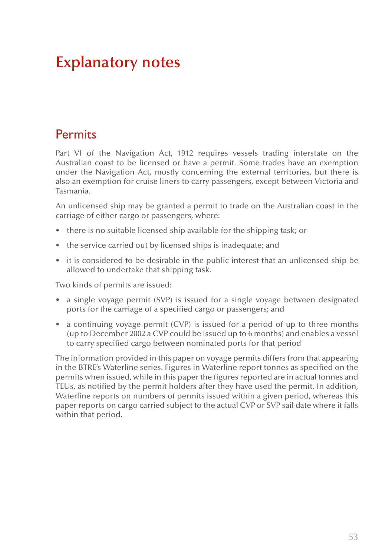# **Explanatory notes**

## **Permits**

Part VI of the Navigation Act, 1912 requires vessels trading interstate on the Australian coast to be licensed or have a permit. Some trades have an exemption under the Navigation Act, mostly concerning the external territories, but there is also an exemption for cruise liners to carry passengers, except between Victoria and Tasmania.

An unlicensed ship may be granted a permit to trade on the Australian coast in the carriage of either cargo or passengers, where:

- there is no suitable licensed ship available for the shipping task; or
- the service carried out by licensed ships is inadequate; and
- it is considered to be desirable in the public interest that an unlicensed ship be allowed to undertake that shipping task.

Two kinds of permits are issued:

- a single voyage permit (SVP) is issued for a single voyage between designated ports for the carriage of a specified cargo or passengers; and
- a continuing voyage permit (CVP) is issued for a period of up to three months (up to December 2002 a CVP could be issued up to 6 months) and enables a vessel to carry specified cargo between nominated ports for that period

The information provided in this paper on voyage permits differs from that appearing in the BTRE's Waterline series. Figures in Waterline report tonnes as specified on the permits when issued, while in this paper the figures reported are in actual tonnes and TEUs, as notified by the permit holders after they have used the permit. In addition, Waterline reports on numbers of permits issued within a given period, whereas this paper reports on cargo carried subject to the actual CVP or SVP sail date where it falls within that period.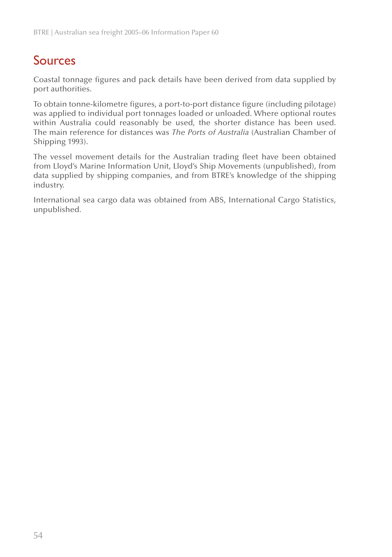## Sources

Coastal tonnage figures and pack details have been derived from data supplied by port authorities.

To obtain tonne-kilometre figures, a port-to-port distance figure (including pilotage) was applied to individual port tonnages loaded or unloaded. Where optional routes within Australia could reasonably be used, the shorter distance has been used. The main reference for distances was *The Ports of Australia* (Australian Chamber of Shipping 1993).

The vessel movement details for the Australian trading fleet have been obtained from Lloyd's Marine Information Unit, Lloyd's Ship Movements (unpublished), from data supplied by shipping companies, and from BTRE's knowledge of the shipping industry.

International sea cargo data was obtained from ABS, International Cargo Statistics, unpublished.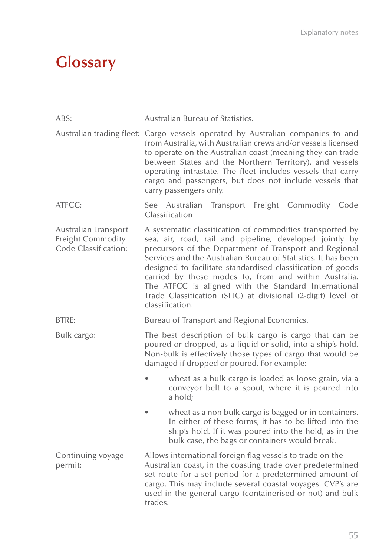# **Glossary**

| ABS:                                                                            | Australian Bureau of Statistics.                                                                                                                                                                                                                                                                                                                                                                                                                                                                                   |  |  |  |
|---------------------------------------------------------------------------------|--------------------------------------------------------------------------------------------------------------------------------------------------------------------------------------------------------------------------------------------------------------------------------------------------------------------------------------------------------------------------------------------------------------------------------------------------------------------------------------------------------------------|--|--|--|
|                                                                                 | Australian trading fleet: Cargo vessels operated by Australian companies to and<br>from Australia, with Australian crews and/or vessels licensed<br>to operate on the Australian coast (meaning they can trade<br>between States and the Northern Territory), and vessels<br>operating intrastate. The fleet includes vessels that carry<br>cargo and passengers, but does not include vessels that<br>carry passengers only.                                                                                      |  |  |  |
| ATFCC:                                                                          | See Australian Transport Freight Commodity Code<br>Classification                                                                                                                                                                                                                                                                                                                                                                                                                                                  |  |  |  |
| <b>Australian Transport</b><br><b>Freight Commodity</b><br>Code Classification: | A systematic classification of commodities transported by<br>sea, air, road, rail and pipeline, developed jointly by<br>precursors of the Department of Transport and Regional<br>Services and the Australian Bureau of Statistics. It has been<br>designed to facilitate standardised classification of goods<br>carried by these modes to, from and within Australia.<br>The ATFCC is aligned with the Standard International<br>Trade Classification (SITC) at divisional (2-digit) level of<br>classification. |  |  |  |
| BTRE:                                                                           | Bureau of Transport and Regional Economics.                                                                                                                                                                                                                                                                                                                                                                                                                                                                        |  |  |  |
| Bulk cargo:                                                                     | The best description of bulk cargo is cargo that can be<br>poured or dropped, as a liquid or solid, into a ship's hold.<br>Non-bulk is effectively those types of cargo that would be<br>damaged if dropped or poured. For example:                                                                                                                                                                                                                                                                                |  |  |  |
|                                                                                 | wheat as a bulk cargo is loaded as loose grain, via a<br>conveyor belt to a spout, where it is poured into<br>a hold;                                                                                                                                                                                                                                                                                                                                                                                              |  |  |  |
|                                                                                 | wheat as a non bulk cargo is bagged or in containers.<br>In either of these forms, it has to be lifted into the<br>ship's hold. If it was poured into the hold, as in the<br>bulk case, the bags or containers would break.                                                                                                                                                                                                                                                                                        |  |  |  |
| Continuing voyage<br>permit:                                                    | Allows international foreign flag vessels to trade on the<br>Australian coast, in the coasting trade over predetermined<br>set route for a set period for a predetermined amount of<br>cargo. This may include several coastal voyages. CVP's are<br>used in the general cargo (containerised or not) and bulk<br>trades.                                                                                                                                                                                          |  |  |  |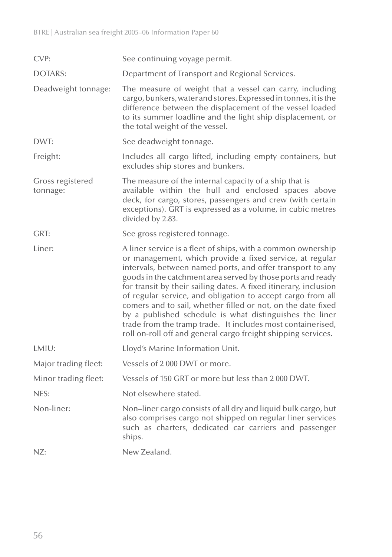| CVP:                         | See continuing voyage permit.                                                                                                                                                                                                                                                                                                                                                                                                                                                                                                                                                                                                                       |
|------------------------------|-----------------------------------------------------------------------------------------------------------------------------------------------------------------------------------------------------------------------------------------------------------------------------------------------------------------------------------------------------------------------------------------------------------------------------------------------------------------------------------------------------------------------------------------------------------------------------------------------------------------------------------------------------|
| DOTARS:                      | Department of Transport and Regional Services.                                                                                                                                                                                                                                                                                                                                                                                                                                                                                                                                                                                                      |
| Deadweight tonnage:          | The measure of weight that a vessel can carry, including<br>cargo, bunkers, water and stores. Expressed in tonnes, it is the<br>difference between the displacement of the vessel loaded<br>to its summer loadline and the light ship displacement, or<br>the total weight of the vessel.                                                                                                                                                                                                                                                                                                                                                           |
| DWT:                         | See deadweight tonnage.                                                                                                                                                                                                                                                                                                                                                                                                                                                                                                                                                                                                                             |
| Freight:                     | Includes all cargo lifted, including empty containers, but<br>excludes ship stores and bunkers.                                                                                                                                                                                                                                                                                                                                                                                                                                                                                                                                                     |
| Gross registered<br>tonnage: | The measure of the internal capacity of a ship that is<br>available within the hull and enclosed spaces above<br>deck, for cargo, stores, passengers and crew (with certain<br>exceptions). GRT is expressed as a volume, in cubic metres<br>divided by 2.83.                                                                                                                                                                                                                                                                                                                                                                                       |
| GRT:                         | See gross registered tonnage.                                                                                                                                                                                                                                                                                                                                                                                                                                                                                                                                                                                                                       |
| Liner:                       | A liner service is a fleet of ships, with a common ownership<br>or management, which provide a fixed service, at regular<br>intervals, between named ports, and offer transport to any<br>goods in the catchment area served by those ports and ready<br>for transit by their sailing dates. A fixed itinerary, inclusion<br>of regular service, and obligation to accept cargo from all<br>comers and to sail, whether filled or not, on the date fixed<br>by a published schedule is what distinguishes the liner<br>trade from the tramp trade. It includes most containerised,<br>roll on-roll off and general cargo freight shipping services. |
| LMIU:                        | Lloyd's Marine Information Unit.                                                                                                                                                                                                                                                                                                                                                                                                                                                                                                                                                                                                                    |
| Major trading fleet:         | Vessels of 2000 DWT or more.                                                                                                                                                                                                                                                                                                                                                                                                                                                                                                                                                                                                                        |
| Minor trading fleet:         | Vessels of 150 GRT or more but less than 2 000 DWT.                                                                                                                                                                                                                                                                                                                                                                                                                                                                                                                                                                                                 |
| NES:                         | Not elsewhere stated.                                                                                                                                                                                                                                                                                                                                                                                                                                                                                                                                                                                                                               |
| Non-liner:                   | Non-liner cargo consists of all dry and liquid bulk cargo, but<br>also comprises cargo not shipped on regular liner services<br>such as charters, dedicated car carriers and passenger<br>ships.                                                                                                                                                                                                                                                                                                                                                                                                                                                    |
| NZ:                          | New Zealand.                                                                                                                                                                                                                                                                                                                                                                                                                                                                                                                                                                                                                                        |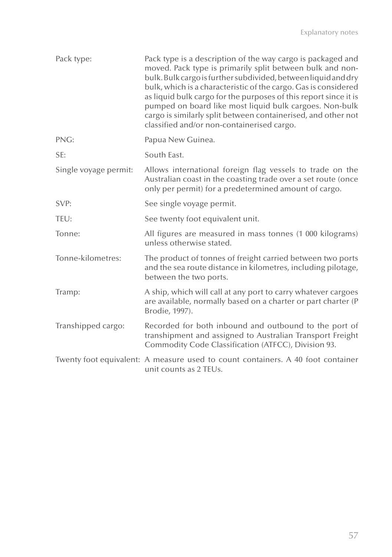| Pack type:            | Pack type is a description of the way cargo is packaged and<br>moved. Pack type is primarily split between bulk and non-<br>bulk. Bulk cargo is further subdivided, between liquid and dry<br>bulk, which is a characteristic of the cargo. Gas is considered<br>as liquid bulk cargo for the purposes of this report since it is<br>pumped on board like most liquid bulk cargoes. Non-bulk<br>cargo is similarly split between containerised, and other not<br>classified and/or non-containerised cargo. |
|-----------------------|-------------------------------------------------------------------------------------------------------------------------------------------------------------------------------------------------------------------------------------------------------------------------------------------------------------------------------------------------------------------------------------------------------------------------------------------------------------------------------------------------------------|
| PNG:                  | Papua New Guinea.                                                                                                                                                                                                                                                                                                                                                                                                                                                                                           |
| SE:                   | South East.                                                                                                                                                                                                                                                                                                                                                                                                                                                                                                 |
| Single voyage permit: | Allows international foreign flag vessels to trade on the<br>Australian coast in the coasting trade over a set route (once<br>only per permit) for a predetermined amount of cargo.                                                                                                                                                                                                                                                                                                                         |
| SVP:                  | See single voyage permit.                                                                                                                                                                                                                                                                                                                                                                                                                                                                                   |
| TEU:                  | See twenty foot equivalent unit.                                                                                                                                                                                                                                                                                                                                                                                                                                                                            |
| Tonne:                | All figures are measured in mass tonnes (1 000 kilograms)<br>unless otherwise stated.                                                                                                                                                                                                                                                                                                                                                                                                                       |
| Tonne-kilometres:     | The product of tonnes of freight carried between two ports<br>and the sea route distance in kilometres, including pilotage,<br>between the two ports.                                                                                                                                                                                                                                                                                                                                                       |
| Tramp:                | A ship, which will call at any port to carry whatever cargoes<br>are available, normally based on a charter or part charter (P<br>Brodie, 1997).                                                                                                                                                                                                                                                                                                                                                            |
| Transhipped cargo:    | Recorded for both inbound and outbound to the port of<br>transhipment and assigned to Australian Transport Freight<br>Commodity Code Classification (ATFCC), Division 93.                                                                                                                                                                                                                                                                                                                                   |
|                       | Twenty foot equivalent: A measure used to count containers. A 40 foot container<br>unit counts as 2 TEUs.                                                                                                                                                                                                                                                                                                                                                                                                   |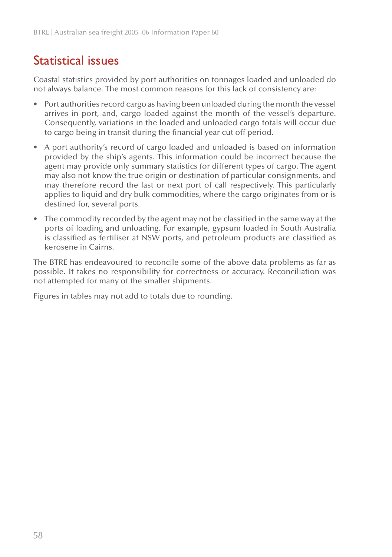## Statistical issues

Coastal statistics provided by port authorities on tonnages loaded and unloaded do not always balance. The most common reasons for this lack of consistency are:

- Port authorities record cargo as having been unloaded during the month the vessel arrives in port, and, cargo loaded against the month of the vessel's departure. Consequently, variations in the loaded and unloaded cargo totals will occur due to cargo being in transit during the financial year cut off period.
- A port authority's record of cargo loaded and unloaded is based on information provided by the ship's agents. This information could be incorrect because the agent may provide only summary statistics for different types of cargo. The agent may also not know the true origin or destination of particular consignments, and may therefore record the last or next port of call respectively. This particularly applies to liquid and dry bulk commodities, where the cargo originates from or is destined for, several ports. •
- The commodity recorded by the agent may not be classified in the same way at the ports of loading and unloading. For example, gypsum loaded in South Australia is classified as fertiliser at NSW ports, and petroleum products are classified as kerosene in Cairns.

The BTRE has endeavoured to reconcile some of the above data problems as far as possible. It takes no responsibility for correctness or accuracy. Reconciliation was not attempted for many of the smaller shipments.

Figures in tables may not add to totals due to rounding.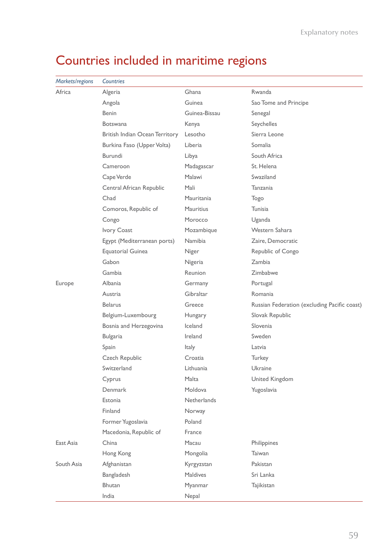| Markets/regions | Countries                      |                    |                                              |
|-----------------|--------------------------------|--------------------|----------------------------------------------|
| Africa          | Algeria                        | Ghana              | Rwanda                                       |
|                 | Angola                         | Guinea             | Sao Tome and Principe                        |
|                 | <b>Benin</b>                   | Guinea-Bissau      | Senegal                                      |
|                 | <b>Botswana</b>                | Kenya              | Seychelles                                   |
|                 | British Indian Ocean Territory | Lesotho            | Sierra Leone                                 |
|                 | Burkina Faso (Upper Volta)     | Liberia            | Somalia                                      |
|                 | Burundi                        | Libya              | South Africa                                 |
|                 | Cameroon                       | Madagascar         | St. Helena                                   |
|                 | Cape Verde                     | Malawi             | Swaziland                                    |
|                 | Central African Republic       | Mali               | Tanzania                                     |
|                 | Chad                           | Mauritania         | Togo                                         |
|                 | Comoros, Republic of           | <b>Mauritius</b>   | Tunisia                                      |
|                 | Congo                          | Morocco            | Uganda                                       |
|                 | Ivory Coast                    | Mozambique         | Western Sahara                               |
|                 | Egypt (Mediterranean ports)    | <b>Namibia</b>     | Zaire, Democratic                            |
|                 | <b>Equatorial Guinea</b>       | Niger              | Republic of Congo                            |
|                 | Gabon                          | Nigeria            | Zambia                                       |
|                 | Gambia                         | Reunion            | Zimbabwe                                     |
| Europe          | Albania                        | Germany            | Portugal                                     |
|                 | Austria                        | Gibraltar          | Romania                                      |
|                 | <b>Belarus</b>                 | Greece             | Russian Federation (excluding Pacific coast) |
|                 | Belgium-Luxembourg             | Hungary            | Slovak Republic                              |
|                 | Bosnia and Herzegovina         | Iceland            | Slovenia                                     |
|                 | <b>Bulgaria</b>                | Ireland            | Sweden                                       |
|                 | Spain                          | Italy              | Latvia                                       |
|                 | Czech Republic                 | Croatia            | Turkey                                       |
|                 | Switzerland                    | Lithuania          | Ukraine                                      |
|                 | Cyprus                         | Malta              | United Kingdom                               |
|                 | Denmark                        | Moldova            | Yugoslavia                                   |
|                 | Estonia                        | <b>Netherlands</b> |                                              |
|                 | Finland                        | Norway             |                                              |
|                 | Former Yugoslavia              | Poland             |                                              |
|                 | Macedonia, Republic of         | France             |                                              |
| East Asia       | China                          | Macau              | Philippines                                  |
|                 | Hong Kong                      | Mongolia           | Taiwan                                       |
| South Asia      | Afghanistan                    | Kyrgyzstan         | Pakistan                                     |
|                 | Bangladesh                     | <b>Maldives</b>    | Sri Lanka                                    |
|                 | Bhutan                         | Myanmar            | Tajikistan                                   |
|                 | India                          | Nepal              |                                              |

# Countries included in maritime regions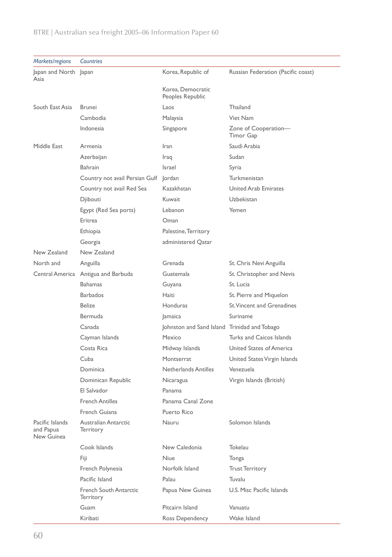| Markets/regions                            | Countries                           |                                              |                                    |
|--------------------------------------------|-------------------------------------|----------------------------------------------|------------------------------------|
| Japan and North Japan                      |                                     | Korea, Republic of                           | Russian Federation (Pacific coast) |
| Asia                                       |                                     | Korea, Democratic                            |                                    |
|                                            |                                     | Peoples Republic                             |                                    |
| South East Asia                            | <b>Brunei</b>                       | Laos                                         | Thailand                           |
|                                            | Cambodia                            | Malaysia                                     | Viet Nam                           |
|                                            | Indonesia                           | Singapore                                    | Zone of Cooperation-<br>Timor Gap  |
| Middle East                                | Armenia                             | Iran                                         | Saudi Arabia                       |
|                                            | Azerbaijan                          | Iraq                                         | Sudan                              |
|                                            | Bahrain                             | Israel                                       | Syria                              |
|                                            | Country not avail Persian Gulf      | lordan                                       | Turkmenistan                       |
|                                            | Country not avail Red Sea           | Kazakhstan                                   | <b>United Arab Emirates</b>        |
|                                            | Djibouti                            | Kuwait                                       | <b>Uzbekistan</b>                  |
|                                            | Egypt (Red Sea ports)               | Lebanon                                      | Yemen                              |
|                                            | Eritrea                             | Oman                                         |                                    |
|                                            | Ethiopia                            | Palestine, Territory                         |                                    |
|                                            | Georgia                             | administered Qatar                           |                                    |
| New Zealand                                | New Zealand                         |                                              |                                    |
| North and                                  | Anguilla                            | Grenada                                      | St. Chris Nevi Anguilla            |
|                                            | Central America Antigua and Barbuda | Guatemala                                    | St. Christopher and Nevis          |
|                                            | <b>Bahamas</b>                      | Guyana                                       | St. Lucia                          |
|                                            | <b>Barbados</b>                     | Haiti                                        | St. Pierre and Miquelon            |
|                                            | <b>Belize</b>                       | <b>Honduras</b>                              | St. Vincent and Grenadines         |
|                                            | <b>Bermuda</b>                      | <b>Jamaica</b>                               | Suriname                           |
|                                            | Canada                              | Johnston and Sand Island Trinidad and Tobago |                                    |
|                                            | Cayman Islands                      | Mexico                                       | Turks and Caicos Islands           |
|                                            | Costa Rica                          | Midway Islands                               | United States of America           |
|                                            | Cuba                                | Montserrat                                   | United States Virgin Islands       |
|                                            | Dominica                            | Netherlands Antilles                         | Venezuela                          |
|                                            | Dominican Republic                  | Nicaragua                                    | Virgin Islands (British)           |
|                                            | El Salvador                         | Panama                                       |                                    |
|                                            | <b>French Antilles</b>              | Panama Canal Zone                            |                                    |
|                                            | French Guiana                       | Puerto Rico                                  |                                    |
| Pacific Islands<br>and Papua<br>New Guinea | Australian Antarctic<br>Territory   | Nauru                                        | Solomon Islands                    |
|                                            | Cook Islands                        | New Caledonia                                | Tokelau                            |
|                                            | Fiji                                | <b>Niue</b>                                  | Tonga                              |
|                                            | French Polynesia                    | Norfolk Island                               | <b>Trust Territory</b>             |
|                                            | Pacific Island                      | Palau                                        | Tuvalu                             |
|                                            | French South Antarctic<br>Territory | Papua New Guinea                             | U.S. Misc Pacific Islands          |
|                                            | Guam                                | Pitcairn Island                              | Vanuatu                            |
|                                            | Kiribati                            | Ross Dependency                              | Wake Island                        |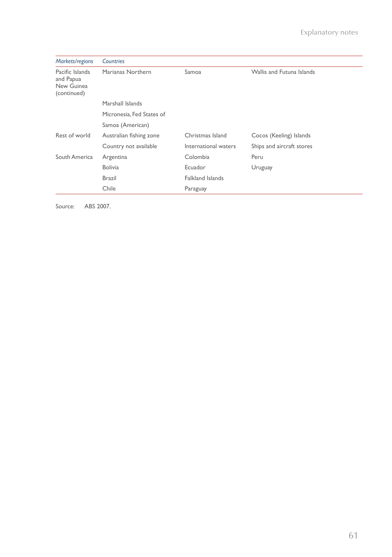| Markets/regions                                           | Countries                 |                         |                           |
|-----------------------------------------------------------|---------------------------|-------------------------|---------------------------|
| Pacific Islands<br>and Papua<br>New Guinea<br>(continued) | Marianas Northern         | Samoa                   | Wallis and Futuna Islands |
|                                                           | Marshall Islands          |                         |                           |
|                                                           | Micronesia. Fed States of |                         |                           |
|                                                           | Samoa (American)          |                         |                           |
| Rest of world                                             | Australian fishing zone   | Christmas Island        | Cocos (Keeling) Islands   |
|                                                           | Country not available     | International waters    | Ships and aircraft stores |
| South America                                             | Argentina                 | Colombia                | Peru                      |
|                                                           | <b>Bolivia</b>            | Ecuador                 | Uruguay                   |
|                                                           | Brazil                    | <b>Falkland Islands</b> |                           |
|                                                           | Chile                     | Paraguay                |                           |

Source: ABS 2007.